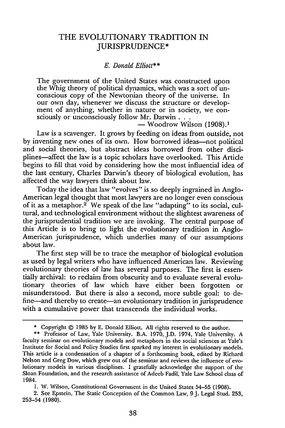# THE EVOLUTIONARY TRADITION IN JURISPRUDENCE\*

#### *E. Donald Elliott\*\**

The government of the United States was constructed upon the Whig theory of political dynamics, which was a sort of unconscious copy of the Newtonian theory of the universe. In our own day, whenever we discuss the structure or development of anything, whether in nature or in society, we consciously or unconsciously follow Mr. Darwin **. . .**

**-** Woodrow Wilson (1908).'

Law is a scavenger. It grows by feeding on ideas from outside, not by inventing new ones of its own. How borrowed ideas-not political and social theories, but abstract ideas borrowed from other disciplines-affect the law is a topic scholars have overlooked. This Article begins to fill that void by considering how the most influential idea of the last century, Charles Darwin's theory of biological evolution, has affected the way lawyers think about law.

Today the idea that law "evolves" is so deeply ingrained in Anglo-American legal thought that most lawyers are no longer even conscious of it as a metaphor.<sup>2</sup> We speak of the law "adapting" to its social, cultural, and technological environment without the slightest awareness of the jurisprudential tradition we are invoking. The central purpose of this Article is to bring to light the evolutionary tradition in Anglo-American jurisprudence, which underlies many of our assumptions about law.

The first step will be to trace the metaphor of biological evolution as used by legal writers who have influenced American law. Reviewing evolutionary theories of law has several purposes. The first is essentially archival: to reclaim from obscurity and to evaluate several evolutionary theories of law which have either been forgotten or misunderstood. But there is also a second, more subtle goal: to define-and thereby to create-an evolutionary tradition in jurisprudence with a cumulative power that transcends the individual works.

1. W. Wilson, Constitutional Government in the United States 54-55 (1908).

2. See Epstein, The Static Conception of the Common Law, 9 J. Legal Stud. 253, 253-54 (1980).

<sup>\*</sup> Copyright © 1985 by E. Donald Elliott. All rights reserved to the author.

<sup>\*\*</sup> Professor of Law, Yale University. B.A. 1970, J.D. 1974, Yale University. A faculty seminar on evolutionary models and metaphors in the social sciences at Yale's Institute for Social and Policy Studies first sparked my interest in evolutionary models. This article is a condensation of a chapter of a forthcoming book, edited by Richard Nelson and Greg Dow, which grew out of the seminar and reviews the influence of evo- lutionary models in various disciplines. I gratefully acknowledge the support of the Sloan Foundation, and the research assistance of Adeeb Fadil, Yale Law School class of 1984.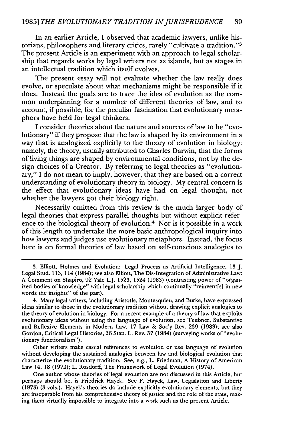In an earlier Article, I observed that academic lawyers, unlike historians, philosophers and literary critics, rarely "cultivate a tradition."'3 The present Article is an experiment with an approach to legal scholarship that regards works by legal writers not as islands, but as stages in an intellectual tradition which itself evolves.

The present essay will not evaluate whether the law really does evolve, or speculate about what mechanisms might be responsible if it does. Instead the goals are to trace the idea of evolution as the common underpinning for a number of different theories of law, and to account, if possible, for the peculiar fascination that evolutionary metaphors have held for legal thinkers.

I consider theories about the nature and sources of law to be "evolutionary" if they propose that the law is shaped by its environment in a way that is analogized explicitly to the theory of evolution in biology: namely, the theory, usually attributed to Charles Darwin, that the forms of living things are shaped by environmental conditions, not by the design choices of a Creator. By referring to legal theories as "evolutionary," I do not mean to imply, however, that they are based on a correct understanding of evolutionary theory in biology. My central concern is the effect that evolutionary ideas have had on legal thought, not whether the lawyers got their biology right.

Necessarily omitted from this review is the much larger body of legal theories that express parallel thoughts but without explicit reference to the biological theory of evolution.4 Nor is it possible in a work of this length to undertake the more basic anthropological inquiry into how lawyers and judges use evolutionary metaphors. Instead, the focus here is on formal theories of law based on self-conscious analogies to

Other writers make casual references to evolution or use language of evolution without developing the sustained analogies between law and biological evolution that characterize the evolutionary tradition. See, e.g., L. Friedman, A History of American Law 14, 18 (1973); L. Rosdorff, The Framework of Legal Evolution (1974).

One author whose theories of legal evolution are not discussed in this Article, but perhaps should be, is Friedrick Hayek. See F. Hayek, Law, Legislation and Liberty (1973) (3 vols.). Hayek's theories do include explicitly evolutionary elements, but they are inseparable from his comprehensive theory of justice and the role of the state, making them virtually impossible to integrate into a work such as the present Article.

<sup>3.</sup> Elliott, Holmes and Evolution: Legal Process as Artificial Intelligence, 13 J. Legal Stud. 113, 114 (1984); see also Elliott, The Dis-Integration of Administrative Law: A Comment on Shapiro, 92 Yale L.J. 1523, 1524 (1983) (contrasting power of "organized bodies of knowledge" with legal scholarship which continually "reinvent[s] in new words the insights" of the past).

<sup>4.</sup> Many legal writers, including Aristotle, Montesquieu, and Burke, have expressed ideas similar to those in the evolutionary tradition without drawing explicit analogies to the theory of evolution in biology. For a recent example of a theory of law that exploits evolutionary ideas without using the language of evolution, see Teubner, Substantive and Reflexive Elements in Modern Law, 17 Law & Soc'y Rev. 239 (1983); see also Gordon, Critical Legal Histories, 36 Stan. L. Rev. 57 (1984) (surveying works of"evolutionary functionalism").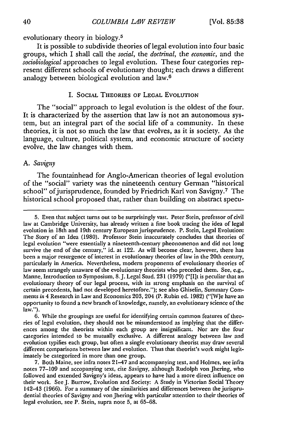## evolutionary theory in biology.5

It is possible to subdivide theories of legal evolution into four basic groups, which I shall call the *social,* the *docirinal,* the *economic,* and the *sociobiological* approaches to legal evolution. These four categories represent different schools of evolutionary thought; each draws a different analogy between biological evolution and law. <sup>6</sup>

## I. SOCIAL THEORIES OF LEGAL EVOLUTION

The "social" approach to legal evolution is the oldest of the four. It is characterized by the assertion that law is not an autonomous system, but an integral part of the social life of a community. In these theories, it is not so much the law that evolves, as it is society. As the language, culture, political system, and economic structure of society evolve, the law changes with them.

## *A. Savigny*

The fountainhead for Anglo-American theories of legal evolution of the "social" variety was the nineteenth century German "historical school" of jurisprudence, founded by Friedrich Karl von Savigny.<sup>7</sup> The historical school proposed that, rather than building on abstract specu-

6. While the groupings are useful for identifying certain common features of theories of legal evolution, they should not **be** misunderstood as implying that the differences among the theorists within each group are insignificant. Nor are the four categories intended to be mutually exclusive. A different analogy between law and evolution typifies each group, but often a single evolutionary theorist may draw several different comparisons between law and evolution. Thus that theorist's work might legitimately be categorized in more than one group.

7. Both Maine, see infra notes 21-47 and accompanying text, and Holmes, see infra notes **77-109** and accopanying text, cite Savigny, although Rudolph von Jhering, who followed and extended Savigny's ideas, appears to have had a more direct influence on their work. SeeJ. Burrow, Evolution and Society: A Study in Victorian Social Theory 142-43 (1966). For a summary of the similarities and differences between the jurisprudential theories of Savigny and von Jhering with particular attention to their theories of legal evolution, see P. Stein, supra note 5, at 65-68.

**<sup>5.</sup>** Even that subject turns out to be surprisingly vast. Peter Stein, professor of civil law at Cambridge University, has already written a fine book tracing the idea of legal evolution in 18th and 19th century European jurisprudence. P. Stein, Legal Evolution: The Story of an Idea (1980). Professor Stein inaccurately concludes that theories of legal evolution "were essentially a nineteenth-century pheonomenon and did not long survive the end of the century," id. at 122. As will become clear, however, there has been a major resurgence of interest in evolutionary theories of law in the 20th century, particularly in America. Nevertheless, modern proponents of evolutionary theories of law seem strangely unaware of the evolutionary theorists who preceded them. See, **e.g.,** Manne, Introduction to Symposium, 8.J. Legal Stud. 231 (1979) ("[I]t is peculiar that an evolutionary theory of our legal process, with its strong emphasis on the survival of certain precedents, had not developed heretofore."); see also Ghiselin, Summary Comments *in* 4 Research in Law and Economics 203, 204 (P. Rubin ed. 1982) ("[W]e have an opportunity to found a new branch of knowledge, namely, an evolutionary science of the law.").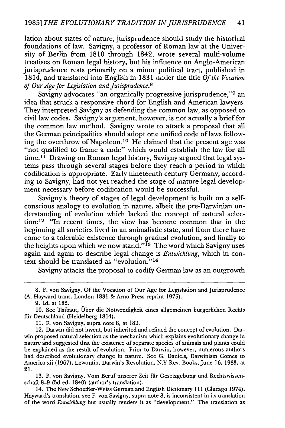lation about states of nature, jurisprudence should study the historical foundations of law. Savigny, a professor of Roman law at the University of Berlin from 1810 through 1842, wrote several multi-volume treatises on Roman legal history, but his influence on Anglo-American jurisprudence rests primarily on a minor political tract, published in 1814, and translated into English in 1831 under the title *Of the Vocation of Our Age for Legislation and Jurisprudence.8*

Savigny advocates "an organically progressive jurisprudence,"<sup>9</sup> an idea that struck a responsive chord for English and American lawyers. They interpreted Savigny as defending the common law, as opposed to civil law codes. Savigny's argument, however, is not actually a brief for the common law method. Savigny wrote to attack a proposal that all the German principalities should adopt one unified code of laws following the overthrow of Napoleon.<sup>10</sup> He claimed that the present age was "not qualified to frame a code" which would establish the law for all time.<sup>11</sup> Drawing on Roman legal history, Savigny argued that legal systems pass through several stages before they reach a period in which codification is appropriate. Early nineteenth century Germany, according to Savigny, had not yet reached the stage of mature legal development necessary before codification would be successful.

Savigny's theory of stages of legal development is built on a selfconscious analogy to evolution in nature, albeit the pre-Darwinian understanding of evolution which lacked the concept of natural selection:<sup>12</sup> "In recent times, the view has become common that in the beginning all societies lived in an animalistic state, and from there have come to a tolerable existence through gradual evolution, and finally to the heights upon which we now stand."<sup>13</sup> The word which Savigny uses again and again to describe legal change is *Entwicklung,* which in context should be translated as "evolution."<sup>14</sup>

Savigny attacks the proposal to codify German law as an outgrowth

13. F. von Savigny, Vom Beruf unserer Zeit ftir Gesetzgebung und Rechtswissenschaft 8-9 (3d ed. 1840) (author's translation).

14. The New Schoeffler-Weiss German and English Dictionary 11 (Chicago 1974). Hayward's translation, see F. von Savigny, supra note 8, is inconsistent in its translation of the word *Entwicklung* but usually renders it as "development." The translation as

<sup>8.</sup> F. von Savigny, Of the Vocation of Our Age for Legislation and Jurisprudence (A. Hayward trans. London 1831 & Arno Press reprint 1975).

<sup>9.</sup> Id. at 182.

<sup>10.</sup> See Thibaut, Uber die Notwendigkeit eines allgemeinen burgerlichen Rechts fir Deutschland (Heidelberg 1814).

<sup>11.</sup> F. von Savigny, supra note 8, at 183.

<sup>12.</sup> Darwin did not invent, but inherited and refined the concept of evolution. Darwin proposed natural selection as the mechanism which explains evolutionary change in nature and suggested that the existence of separate species of animals and plants could be explained as the result of evolution. Prior to Darwin, however, numerous authors had described evolutionary change in nature. See **G.** Daniels, Darwinism Comes to America xii (1967); Lewontin, Darwin's Revolution, N.Y Rev. Books, June 16, 1983, at 21.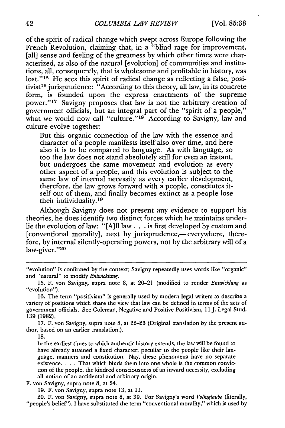of the spirit of radical change which swept across Europe following the French Revolution, claiming that, in a "blind rage for improvement, [all] sense and feeling of the greatness by which other times were characterized, as also of the natural [evolution] of communities and institutions, all, consequently, that is wholesome and profitable in history, was lost."<sup>15</sup> He sees this spirit of radical change as reflecting a false, positivist<sup>16</sup> jurisprudence: "According to this theory, all law, in its concrete form, is founded upon the express enactments of the supreme power."<sup>17</sup> Savigny proposes that law is not the arbitrary creation of government officials, but an integral part of the "spirit of a people," what we would now call "culture."<sup>18</sup> According to Savigny, law and culture evolve together:

But this organic connection of the law with the essence and character of a people manifests itself also over time, and here also it is to be compared to language. As with language, so too the law does not stand absolutely still for even an instant, but undergoes the same movement and evolution as every other aspect of a people, and this evolution is subject to the same law of internal necessity as every earlier development, therefore, the law grows forward with a people, constitutes itself out of them, and finally becomes extinct as a people lose their individuality.19

Although Savigny does not present any evidence to support his theories, he does identify two distinct forces which he maintains underlie the evolution of law: "[A]ll law. **. .** is first developed by custom and [conventional morality], next by jurisprudence,—everywhere, therefore, by internal silently-operating powers, not by the arbitrary will of a law-giver."<sup>20</sup>

17. F. von Savigny, supra note **8,** at 22-23 (Original translation by the present author, based on an earlier translation.).

18.

In the earliest times to which authentic history extends, the law will be found to have already attained a fixed character, peculiar to the people like their language, manners and constitution. Nay, these phenomena have no separate existence. . **.** .That which binds them into one whole is the common conviction of the people, the kindred consciousness of an inward necessity, excluding all notion of an accidental and arbitrary origin.

F. von Savigny, supra note 8, at 24.

19. F. von Savigny, supra note **13,** at 11.

20. F. von Savigny, supra note 8, at 30. For Savigny's word *Volksglaube* (literally, "people's belief"), I have substituted the term "conventional morality," which is used by

<sup>&</sup>quot;evolution" is confirmed by the context; Savigny repeatedly uses words like "organic" and "natural" to modify *Entwicklung.*

<sup>15.</sup> F. von Savigny, supra note 8, at 20-21 (modified to render *Entwicklung* as "evolution").

<sup>16.</sup> The term "positivism" is generally used by modem legal writers to describe a variety of positions which share the view that law can be defined in terms of the acts of government officials. See Coleman, Negative and Positive Positivism, **I** 1 J. Legal Stud. 139 (1982).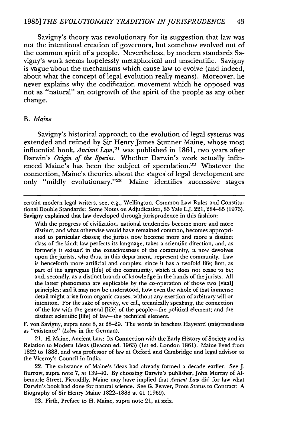Savigny's theory was revolutionary for its suggestion that law was not the intentional creation of governors, but somehow evolved out of the common spirit of a people. Nevertheless, by modern standards Savigny's work seems hopelessly metaphorical and unscientific. Savigny is vague about the mechanisms which cause law to evolve (and indeed, about what the concept of legal evolution really means). Moreover, he never explains why the codification movement which he opposed was not as "natural" an outgrowth of the spirit of the people as any other change.

#### *B. Maine*

Savigny's historical approach to the evolution of legal systems was extended and refined by Sir Henry James Sumner Maine, whose most influential book, *Ancient Law*,<sup>21</sup> was published in 1861, two years after Darwin's *Origin of the Species.* Whether Darwin's work actually influenced Maine's has been the subject of speculation.<sup>22</sup> Whatever the connection, Maine's theories about the stages of legal development are only "mildly evolutionary."<sup>23</sup> Maine identifies successive stages

With the progress of civilization, national tendencies become more and more distinct, and what otherwise would have remained common, becomes appropriated to particular classes; the jurists now become more and more a distinct class of the kind; law perfects its language, takes a scientific direction, and, as formerly it existed in the consciousness of the community, it now devolves upon the jurists, who thus, in this department, represent the community. Law is henceforth more artificial and complex, since it has a twofold life; first, as part of the aggregate [life] of the community, which it does not cease to be; and, secondly, as a distinct branch of knowledge in the hands of the jurists. All the latter phenomena are explicable by the co-operation of those two [vital] principles; and it may now be understood, how even the whole of that immense detail might arise from organic causes, without any exertion of arbitrary will or intention. For the sake of brevity, we call, technically speaking, the connection of the law with the general [life] of the people-the political element; and the distinct scientific [life] of law—the technical element.

F. von Savigny, supra note 8, at 28-29. The words in brackets Hayward (mis)translates as "existence" *(Leben* in the German).

21. H. Maine, Ancient Law: Its Connection with the Early History of Society and its Relation to Modern Ideas (Beacon ed. 1963) (1st ed. London 1861). Maine lived from 1822 to 1888, and was professor of law at Oxford and Cambridge and legal advisor to the Viceroy's Council in India.

22. The substance of Maine's ideas had already formed a decade earlier. See J. Burrow, supra note 7, at 139-40. By choosing Darwin's publisher, John Murray of **Al**bemarle Street, Piccadilly, Maine may have implied that *Ancient Law* did for law what Darwin's book had done for natural science. See G. Feaver, From Status to Contract: A Biography of Sir Henry Maine 1822-1888 at 41 (1969).

23. Firth, Preface to H. Maine, supra note **21,** at xxix.

certain modern legal writers, see, e.g., Wellington, Common Law Rules and Constitutional Double Standards: Some Notes on Adjudication, 83 Yale L.J. 221, 284-85 (1973). Savigny explained that law developed through jurisprudence in this fashion: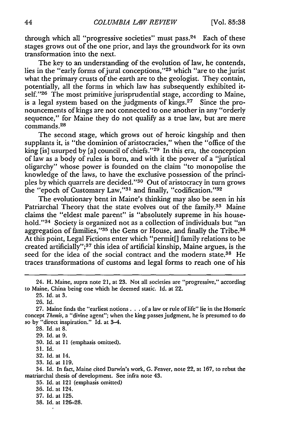through which all "progressive societies" must pass. $24$  Each of these stages grows out of the one prior, and lays the groundwork for its own transformation into the next.

The key to an understanding of the evolution of law, he contends, lies in the "early forms of jural conceptions,"<sup>25</sup> which "are to the jurist what the primary crusts of the earth are to the geologist. They contain, potentially, all the forms in which law has subsequently exhibited itself."<sup>26</sup> The most primitive jurisprudential stage, according to Maine, is a legal system based on the judgments of kings.<sup>27</sup> Since the pronouncements of kings are not connected to one another in any "orderly sequence," for Maine they do not qualify as a true law, but are mere commands.<sup>28</sup>

The second stage, which grows out of heroic kingship and then supplants it, is "the dominion of aristocracies," when the "office of the  $k$ ing [is] usurped by [a] council of chiefs."<sup>29</sup> In this era, the conception of law as a body of rules is born, and with it the power of a "juristical oligarchy" whose power is founded on the claim "to monopolise the knowledge of the laws, to have the exclusive possession of the principles by which quarrels are decided."30 Out of aristocracy in turn grows the "epoch of Customary Law,"<sup>31</sup> and finally, "codification."<sup>32</sup>

The evolutionary bent in Maine's thinking may also be seen in his Patriarchal Theory that the state evolves out of the family.<sup>33</sup> Maine claims the "eldest male parent" is "absolutely supreme in his household."<sup>34</sup> Society is organized not as a collection of individuals but "an aggregation of families,"<sup>35</sup> the Gens or House, and finally the Tribe.<sup>36</sup> At this point, Legal Fictions enter which "permit[] family relations to be created artificially"; 37 this idea of artificial kinship, Maine argues, is the seed for the idea of the social contract and the modern state.<sup>38</sup> He traces transformations of customs and legal forms to reach one of his

26. Id.

30. Id. at **11** (emphasis omitted).

33. Id. at 119.

34. Id. In fact, Maine cited Darwin's work, **G.** Feaver, note 22, at **167,** to rebut the matriarchal thesis of development. See infra note 43.

**35.** Id. at 121 (emphasis omitted)

<sup>24.</sup> H. Maine, supra note 21, at 23. Not all societies are "progressive," according to Maine, China being one which he deemed static. Id. at 22.

<sup>25.</sup> Id. at 3.

<sup>27.</sup> Maine finds the "earliest notions **...** of a law or rule of life" lie in the Homeric concept *Themis,* a "divine agent"; when the king passes judgment, he is presumed to do so by "direct inspiration." Id. at 3-4.

<sup>28.</sup> Id. at 8.

<sup>29.</sup> Id. at 9.

<sup>31.</sup> Id.

<sup>32.</sup> Id. at 14.

<sup>36.</sup> Id. at 124.

<sup>37.</sup> Id. at 125.

<sup>38.</sup> Id. at 126-28.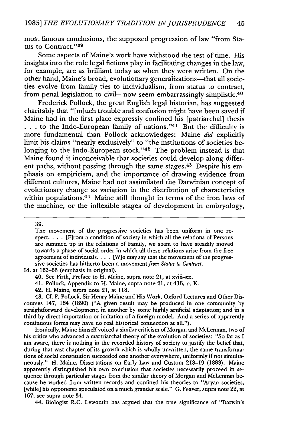most famous conclusions, the supposed progression of law "from Status to Contract."<sup>39</sup>

Some aspects of Maine's work have withstood the test of time. His insights into the role legal fictions play in facilitating changes in the law, for example, are as brilliant today as when they were written. On the other hand, Maine's broad, evolutionary generalizations-that all societies evolve from family ties to individualism, from status to contract, from penal legislation to civil—now seem embarrassingly simplistic.<sup>40</sup>

Frederick Pollock, the great English legal historian, has suggested charitably that "[m]uch trouble and confusion might have been saved if Maine had in the first place expressly confined his [patriarchal] thesis ... to the Indo-European family of nations."<sup>41</sup> But the difficulty is more fundamental than Pollock acknowledges: Maine *did* explicitly limit his claims "nearly exclusively" to "the institutions of societies belonging to the Indo-European stock."<sup>42</sup> The problem instead is that Maine found it inconceivable that societies could develop along different paths, without passing through the same stages.<sup>43</sup> Despite his emphasis on empiricism, and the importance of drawing evidence from different cultures, Maine had not assimilated the Darwinian concept of evolutionary change as variation in the distribution of characteristics within populations. 44 Maine still thought in terms of the iron laws of the machine, or the inflexible stages of development in embryology,

39.

The movement of the progressive societies has been uniform in one respect. . . . [F]rom a condition of society in which all the relations of Persons are summed up in the relations of Family, we seem to have steadily moved towards a phase of social order in which all these relations arise from the free agreement of individuals. **..** . [W]e may say that the movement of the progressive societies has hitherto been a movement from Status to Contract.

Id. at 163-65 (emphasis in original).

41. Pollock, Appendix to H. Maine, supra note 21, at 415, n. K.

42. H. Maine, supra note 21, at 118.

43. Cf. F. Pollock, Sir Henry Maine and His Work, Oxford Lectures and Other Discourses 147, 164 (1890) ("A given result may be produced in one community by straightforward development; in another by some highly artificial adaptation; and in a third by direct importation or imitation of a foreign model. And a series of apparently continuous forms may have no real historical connection at all.").

Ironically, Maine himself voiced a similar criticism of Morgan and McLennan, two of his critics who advanced a martriarchal theory of the evolution of societies: "So far as I am aware, there is nothing in the recorded history of society to justify the belief that, during that vast chapter of its growth which is wholly unwritten, the same transformations of social constitution succeeded one another everywhere, uniformly if not simultaneously." H. Maine, Dissertations on Early Law and Custom 218-19 (1883). Maine apparently distinguished his own conclusion that societies necessarily proceed in sequence through particular stages from the similar theory of Morgan and McLennan because he worked from written records and confined his theories to "Aryan societies, [while] his opponents speculated on a much grander scale." G. Feaver, supra note 22, at 167; see supra note 34.

44. Biologist R.C. Lewontin has argued that the true significance of "Darwin's

<sup>40.</sup> See Firth, Preface to H. Maine, supra note 21, at xviii-xx.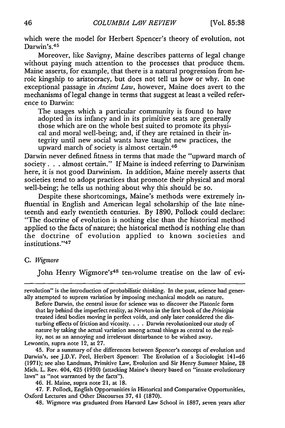which were the model for Herbert Spencer's theory of evolution, not Darwin's **.45**

Moreover, like Savigny, Maine describes patterns of legal change without paying much attention to the processes that produce them. Maine asserts, for example, that there is a natural progression from heroic kingship to aristocracy, but does not tell us how or why. In one exceptional passage in *Ancient Law,* however, Maine does avert to the mechanisms of legal change in terms that suggest at least a veiled reference to Darwin:

The usages which a particular community is found to have adopted in its infancy and in its primitive seats are generally those which are on the whole best suited to promote its physical and moral well-being; and, if they are retained in their integrity until new social wants have taught new practices, the upward march of society is almost certain. <sup>46</sup>

Darwin never defined fitness in terms that made the "upward march of society. **. .** almost certain." If Maine is indeed referring to Darwinism here, it is not good Darwinism. In addition, Maine merely asserts that societies tend to adopt practices that promote their physical and moral well-being; he tells us nothing about why this should be so.

Despite these shortcomings, Maine's methods were extremely influential in English and American legal scholarship of the late nineteenth and early twentieth centuries. By 1890, Pollock could declare: "The doctrine of evolution is nothing else than the historical method applied to the facts of nature; the historical method is nothing else than the doctrine of evolution applied to known societies and institutions."47

#### *C. Wigmore*

John Henry Wigmore's<sup>48</sup> ten-volume treatise on the law of evi-

Before Darwin, the central issue for science was to discover the Platonic form that lay behind the imperfect reality, as Newton in the first book of the *Prinicipia* treated ideal bodies moving in perfect voids, and only later considered the disturbing effects of friction and vicosity **....** Darwin revolutionized our study of nature by taking the actual variation among actual things as central to the reality, not as an annoying and irrelevant disturbance to be wished away.

Lewontin, supra note 12, at 27.

45. For a summary of the differences between Spencer's concept of evolution and Darwin's, see J.D.Y. Peel, Herbert Spencer: The Evolution of a Sociologist 141-46 (1971); see also Landman, Primitive Law, Evolution and Sir Henry Sumner Maine, 28 Mich. L. Rev. 404, 425 (1930) (attacking Maine's theory based on "innate evolutionary laws" as "not warranted by the facts").

46. H. Maine, supra note 21, at 18.

47. F. Pollock, English Opportunities in Historical and Comparative Opportunities, Oxford Lectures and Other Discourses 37, 41 (1870).

48. Wigmore was graduated from Harvard Law School in 1887, seven years after

revolution" is the introduction of probabilistic thinking. In the past, science had generally attempted to supress variation by imposing mechanical models on nature.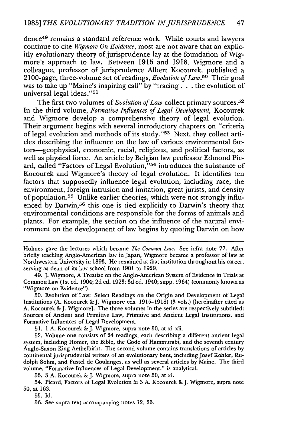dence<sup>49</sup> remains a standard reference work. While courts and lawyers continue to cite *Wigmore On Evidence,* most are not aware that an explicitly evolutionary theory of jurisprudence lay at the foundation of Wigmore's approach to law. Between 1915 and 1918, Wigmore and a colleague, professor of jurisprudence Albert Kocourek, published a 2100-page, three-volume set of readings, *Evolution of Law. <sup>50</sup>*Their goal was to take up "Maine's inspiring call" by "tracing. **.** .the evolution of universal legal ideas."<sup>51</sup>

The first two volumes of *Evolution of Law* collect primary sources.<sup>52</sup> In the third volume, *Formative Influences of Legal Development,* Kocourek and Wigmore develop a comprehensive theory of legal evolution. Their argument begins with several introductory chapters on "criteria of legal evolution and methods of its study."<sup>53</sup> Next, they collect articles describing the influence on the law of various environmental factors-geophysical, economic, racial, religious, and political factors, as well as physical force. An article by Belgian law professor Edmond Picard, called "Factors of Legal Evolution,"<sup>54</sup> introduces the substance of Kocourek and Wigmore's theory of legal evolution. It identifies ten factors that supposedly influence legal evolution, including race, the environment, foreign intrusion and imitation, great jurists, and density of population.<sup>55</sup> Unlike earlier theories, which were not strongly influenced by Darwin,56 this one is tied explicitly to Darwin's theory that environmental conditions are responsible for the forms of animals and plants. For example, the section on the influence of the natural environment on the development of law begins by quoting Darwin on how

Holmes gave the lectures which became *The Common Law.* See infra note 77. After briefly teaching Anglo-American law in Japan, Wigmore became a professor of law at Northwestern University in 1893. He remained at that institution throughout his career, serving as dean of its law school from 1901 to 1929.

49. J. Wigmore, A Treatise on the Anglo-American System of Evidence in Trials at Common Law (1st ed. 1904; 2d ed. 1923; 3d ed. 1940; supp. 1964) (commonly known as "Wigmore on Evidence").

50. Evolution of Law: Select Readings on the Origin and Development of Legal Institutions (A. Kocourek &J. Wigmore eds. 1915-1918) (3 vols.) [hereinafter cited as A. Kocourek &J. Wigmore]. The three volumes in the series are respectively subtitled: Sources of Ancient and Primitive Law, Primitive and Ancient Legal Institutions, and Formative Influences of Legal Development.

51. **1** A. Kocourek &J. Wigmore, supra note 50, at xi-xii.

52. Volume one consists of 24 readings, each describing a different ancient legal system, including Homer, the Bible, the Code of Hammurabi, and the seventh century Anglo-Saxon King Aethelbirht. The second volume contains translations of articles by continental jurisprudential writers of an evolutionary bent, including Josef Kohler, Rudolph Sohm, and Fustel de Coulanges, as well as several articles by Maine. The third volume, "Formative Influences of Legal Development," is analytical.

53. 3 A. Kocourek &J. Wigmore, supra note 50, at xi.

54. Picard, Factors of Legal Evolution *in* 3 A. Kocourek &J. Wigmore, supra note 50, at 163.

55. Id.

56. See supra text accompanying notes 12, 23.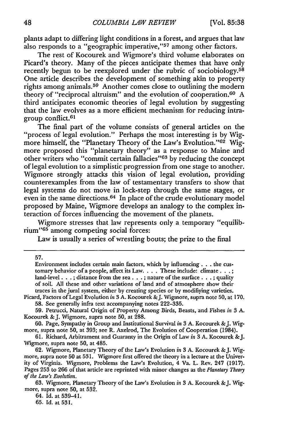plants adapt to differing light conditions in a forest, and argues that law also responds to a "geographic imperative,"<sup>57</sup> among other factors.

The rest of Kocourek and Wigmore's third volume elaborates on Picard's theory. Many of the pieces anticipate themes that have only recently begun to be reexplored under the rubric of sociobiology.<sup>58</sup> One article describes the development of something akin to property rights among animals. 59 Another comes close to outlining the modern theory of "reciprocal altruism" and the evolution of cooperation. 60 A third anticipates economic theories of legal evolution by suggesting that the law evolves as a more efficient mechanism for reducing intragroup conflict.<sup>61</sup>

The final part of the volume consists of general articles on the "process of legal evolution." Perhaps the most interesting is by Wigmore himself, the "Planetary Theory of the Law's Evolution."<sup>62</sup> Wigmore proposed this "planetary theory" as a response to Maine and other writers who "commit certain fallacies" 63 by reducing the concept of legal evolution to a simplistic progression from one stage to another. Wigmore strongly attacks this vision of legal evolution, providing counterexamples from the law of testamentary transfers to show that legal systems do not move in lock-step through the same stages, or even in the same directions.<sup>64</sup> In place of the crude evolutionary model proposed by Maine, Wigmore develops an analogy to the complex interaction of forces influencing the movement of the planets.

Wigmore stresses that law represents only a temporary "equilibrium"<sup>65</sup> among competing social forces:

Law is usually a series of wrestling bouts; the prize to the final

57.

Environment includes certain main factors, which by influencing **...** the customary behavior of a people, affect its Law **....** These include: climate... **;** land-level *...* ; distance from the sea **...** ; nature of the surface. **.** . ; quality of soil. All these and other variations of land and of atmosphere show their traces in the jural system, either by creating species or by modifiying varieties.

60. Page, Sympathy in Group and Institutional Survival *in* 3 A. Kocourek &J. Wigmore, supra note 50, at 393; see R. Axelrod, The Evolution of Cooperation (1984).

64. Id. at 539-41.

65. Id. at 531.

Picard, Factors of Legal Evolution *in* 3 A. Kocourek &J. Wigmore, supra note 50, at 170. 58. See generally infra text accompanying notes 222-335.

<sup>59.</sup> Petrucci, Natural Origin of Property Among Birds, Beasts, and Fishes *in* 3 A. Kocourek &J. Wigmore, supra note 50, at 288.

<sup>61.</sup> Richard, Arbitrament and Guaranty in the Origin of Law *in* 3 A. Kocourek &J. Wigmore, supra note 50, at 485.

<sup>62.</sup> Wigmore, Planetary Theory of the Law's Evolution *in* 3 A. Kocourek &J. Wigmore, supra note 50 at 531. Wigmore first offered the theory in a lecture at the Univerity of Virginia. Wigmore, Problems the Law's Evolution, 4 Va. L. Rev. 247 (1917). Pages 253 to 266 of that article are reprinted with minor changes as the *Planetary Theoy of the Law's Evolution.*

<sup>63.</sup> Wigmore, Planetary Theory of the Law's Evolution *in* 3 A. Kocourek &J. Wigmore, supra note 50, at 532.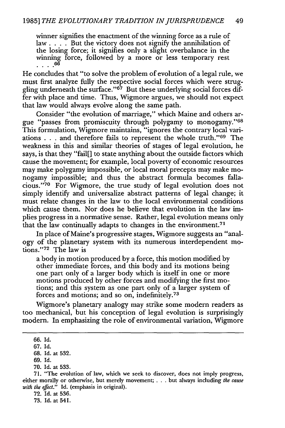winner signifies the enactment of the winning force as a rule of law **....** But the victory does not signify the annihilation of the losing force; it signifies only a slight overbalance in the winning force, followed by a more or less temporary rest **66**

He concludes that "to solve the problem of evolution of a legal rule, we must first analyze fully the respective social forces which were struggling underneath the surface."<sup>67</sup> But these underlying social forces differ with place and time. Thus, Wigmore argues, we should not expect that law would always evolve along the same path.

Consider "the evolution of marriage," which Maine and others argue "passes from promiscuity through polygamy to monogamy."68 This formulation, Wigmore maintains, "ignores the contrary local variations . . . and therefore fails to represent the whole truth." $69$  The weakness in this and similar theories of stages of legal evolution, he says, is that they "fail[] to state anything about the outside factors which cause the movement; for example, local poverty of economic resources may make polygamy impossible, or local moral precepts may make monogamy impossible; and thus the abstract formula becomes fallacious." '70 For Wigmore, the true study of legal evolution does not simply identify and universalize abstract patterns of legal change; it must relate changes in the law to the local environmental conditions which cause them. Nor does he believe that evolution in the law implies progress in a normative sense. Rather, legal evolution means only that the law continually adapts to changes in the environment.<sup>71</sup>

In place of Maine's progressive stages, Wigmore suggests an "analogy of the planetary system with its numerous interdependent motions." $72$  The law is

a body in motion produced by a force, this motion modified by other immediate forces, and this body and its motions being one part only of a larger body which is itself in one or more motions produced by other forces and modifying the first motions; and this system as one part only of a larger system of forces and motions; and so on, indefinitely.<sup>73</sup>

Wigmore's planetary analogy may strike some modem readers as too mechanical, but his conception of legal evolution is surprisingly modem. In emphasizing the role of environmental variation, Wigmore

72. Id. at 536.

73. Id. at 541.

<sup>66.</sup> Id.

<sup>67.</sup> Id.

<sup>68.</sup> Id. at 532.

<sup>69.</sup> Id.

<sup>70.</sup> Id. at 533.

<sup>71. &</sup>quot;The evolution of law, which we seek to discover, does not imply progress, either morally or otherwise, but merely movement; **...** but always including *the* cause *with the effect."* Id. (emphasis in original).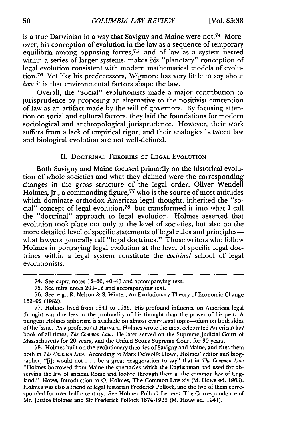is a true Darwinian in a way that Savigny and Maine were not.74 Moreover, his conception of evolution in the law as a sequence of temporary equilibria among opposing forces,<sup>75</sup> and of law as a system nested within a series of larger systems, makes his "planetary" conception of legal evolution consistent with modern mathematical models of evolution. 76 Yet like his predecessors, Wigmore has very little to say about *how* it is that environmental factors shape the law.

Overall, the "social" evolutionists made a major contribution to jurisprudence by proposing an alternative to the positivist conception of law as an artifact made by the will of governors. By focusing attention on social and cultural factors, they laid the foundations for modern sociological and anthropological jurisprudence. However, their work suffers from a lack of empirical rigor, and their analogies between law and biological evolution are not well-defined.

#### II. DOCTRINAL THEORIES OF LEGAL EVOLUTION

Both Savigny and Maine focused primarily on the historical evolution of whole societies and what they claimed were the corresponding changes in the gross structure of the legal order. Oliver Wendell Holmes, Jr., a commanding figure,<sup>77</sup> who is the source of most attitudes which dominate orthodox American legal thought, inherited the "social" concept of legal evolution, 78 but transformed it into what I call the "doctrinal" approach to legal evolution. Holmes asserted that evolution took place not only at the level of societies, but also on the more detailed level of specific statements of legal rules and principleswhat lawyers generally call "legal doctrines." Those writers who follow Holmes in portraying legal evolution at the level of specific legal doctrines within a legal system constitute the *doctrinal* school of legal evolutionists.

78. Holmes built on the evolutionary theories of Savigny and Maine, and cites them both in *The Common Law.* According to Mark DeWolfe Howe, Holmes' editor and biographer, "[ilt would not . . **.** be a great exaggeration to say" that in *The Common Law* "Holmes borrowed from Maine the spectacles which the Englishman had used for observing the law of ancient Rome and looked through them at the common law of England." Howe, Introduction to **0.** Holmes, The Common Law xiv (M. Howe ed. 1963). Holmes was also a friend of legal historian Frederick Pollock, and the two of them corresponded for over half a century. See Holmes-Pollock Letters: The Correspondence of Mr. Justice Holmes and Sir Frederick Pollock 1874-1932 (M. Howe ed. 1941).

<sup>74.</sup> See supra notes 12-20, 40-46 and accompanying text.

**<sup>75.</sup>** See infra notes 204-12 and accompanying text.

<sup>76.</sup> See, e.g., R. Nelson & S. Winter, An Evolutionary Theory of Economic Change 163-92 (1982).

<sup>77.</sup> Holmes lived from 1841 to 1935. His profound influence on American legal thought was due less to the profundity of his thought than the power of his pen. A pungent Holmes aphorism is available on almost every legal topic-often on both sides of the issue. As a professor at Harvard, Holmes wrote the most celebrated American law book of all times, *The Common Law.* He later served on the Supreme Judicial Court of Massachusetts for 20 years, and the United States Supreme Court for 30 years.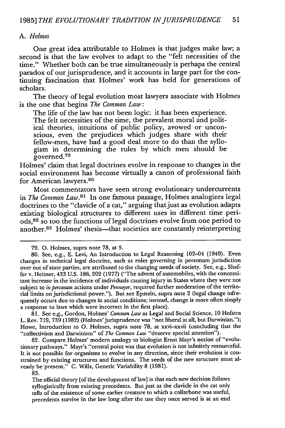### *A. Holmes*

One great idea attributable to Holmes is that judges make law; a second is that the law evolves to adapt to the "felt necessities of the time." Whether both can be true simultaneously is perhaps the central paradox of our jurisprudence, and it accounts in large part for the continuing fascination that Holmes' work has held for generations of scholars.

The theory of legal evolution most lawyers associate with Holmes is the one that begins *The Common Law:*

The life of the law has not been logic: it has been experience. The felt necessities of the time, the prevalent moral and political theories, intuitions of public policy, avowed or unconscious, even the prejudices which judges share with their fellow-men, have had a good deal more to do than the syllogism in determining the rules by which men should be governed. <sup>79</sup>

Holmes' claim that legal doctrines evolve in response to changes in the social environment has become virtually a canon of professional faith for American lawyers. <sup>80</sup>

Most commentators have seen strong evolutionary undercurrents in *The Common Law.<sup>8</sup> '* In one famous passage, Holmes analogizes legal doctrines to the "clavicle of a cat," arguing that just as evolution adapts existing biological structures to different uses in different time periods,<sup>8</sup> <sup>2</sup>**so** too the functions of legal doctrines evolve from one period to another.<sup>83</sup> Holmes' thesis—that societies are constantly reinterpreting

81. See e.g., Gordon, Holmes' *Common Law* as Legal and Social Science, **10** Hofstra L. Rev. 719, 739 (1982) (Holmes'jurisprudence was "not liberal at all, but Darwinian."); Howe, Introduction to **0.** Holmes, supra note 78, at xxvi-xxvii (concluding that the "collectivism and Darwinism" of *The Common Law* "deserve special attention").

82. Compare Holmes' modem analogy to biologist Ernst Mayr's notion of "evolutionary pathways." Mayr's "central point was that evolution is not infinitely resourceful. It is not possible for organisms to evolve in any direction, since their evolution is constrained by existing structures and functions. The seeds of the new structure must already be present." **C.** Wills, Genetic Variability 8 (1981).

83.

The official theory [of the development of law] is that each new decision follows syllogistically from existing precedents. But just as the clavicle in the cat only tells of the existence of some earlier creature to which a collarbone was useful, precedents survive in the law long after the use they once served is at an end

<sup>79.</sup> **0.** Holmes, supra note 78, at 5.

**<sup>80.</sup>** See, e.g., E. Levi, An Introduction to Legal Reasoning 102-04 (1949). Even changes in technical legal doctrine, such as rules governing in personam jurisdiction over out of state parties, are attributed to the changing needs of society. See, e.g., Shaffer v. Heitner, 433 U.S. 186, 202 (1977) ("The advent of automobiles, with the concomitant increase in the incidence of individuals causing injury in States where they were not subject to *in personam* actions under *Pennoyer,* required further moderation of the territorial limits on jurisdictional power."). But see Epstein, supra note 2 (legal change infrequently occurs due to changes in social conditions; instead, change is more often simply a response to laws which were incorrect in the first place).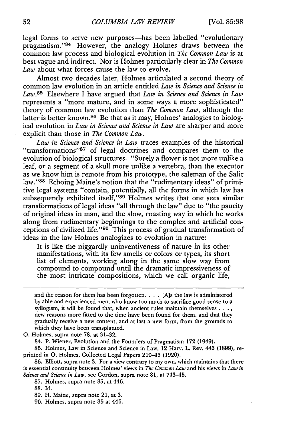legal forms to serve new purposes-has been labelled "evolutionary pragmatism."<sup>84</sup> However, the analogy Holmes draws between the common law process and biological evolution in *The Common Law* is at best vague and indirect. Nor is Holmes particularly clear in *The Common Law* about what forces cause the law to evolve.

Almost two decades later, Holmes articulated a second theory of common law evolution in an article entitled *Law in Science and Science in Law.8 <sup>5</sup>*Elsewhere I have argued that *Law in Science and Science in Law* represents a "more mature, and in some ways a more sophisticated" theory of common law evolution than *The Common Law,* although the latter is better known.<sup>86</sup> Be that as it may, Holmes' analogies to biological evolution in *Law in Science and Science in Law* are sharper and more explicit than those in *The Common Law.*

*Law in Science and Science in Law* traces examples of the historical "transformations"<sup>87</sup> of legal doctrines and compares them to the evolution of biological structures. "Surely a flower is not more unlike a leaf, or a segment of a skull more unlike a vertebra, than the executor as we know him is remote from his prototype, the saleman of the Salic law."<sup>88</sup> Echoing Maine's notion that the "rudimentary ideas" of primitive legal systems "contain, potentially, all the forms in which law has subsequently exhibited itself,"89 Holmes writes that one sees similar transformations of legal ideas "all through the law" due to "the paucity of original ideas in man, and the slow, coasting way in which he works along from rudimentary beginnings to the complex and artificial conceptions of civilized life." 90 This process of gradual transformation of ideas in the law Holmes analogizes to evolution in nature:

It is like the niggardly uninventiveness of nature in its other manifestations, with its few smells or colors or types, its short list of elements, working along in the same slow way from compound to compound until the dramatic impressiveness of the most intricate compositions, which we call organic life,

**0.** Holmes, supra note 78, at 31-32.

84. P. Wiener, Evolution and the Founders of Pragmatism 172 (1949).

85. Holmes, Law in Science and Science in Law, 12 Harv. L. Rev. 443 (1899), reprinted in **0.** Holmes, Collected Legal Papers 210-43 (1920).

- 86. Elliott, supra note 3. For a view contrary to my own, which maintains that there is essential continuity between Holmes' views in *The Common Law* and his views in *Law in Science and Science in Law,* see Gordon, supra note 81, at 743-45.
	- 87. Holmes, supra note 85, at 446.

88. Id.

- **89.** H. Maine, supra note 21, at **3.**
- **90.** Holmes, supra note 85 at 446.

and the reason for them has been forgotten **....** [A]s the law is administered by able and experienced men, who know too much to sacrifice good sense to a syllogism, it will be found that, when ancient rules maintain themselves . . . .<br>new reasons more fitted to the time have been found for them, and that they gradually receive a new content, and at last a new form, from the grounds to which they have been transplanted.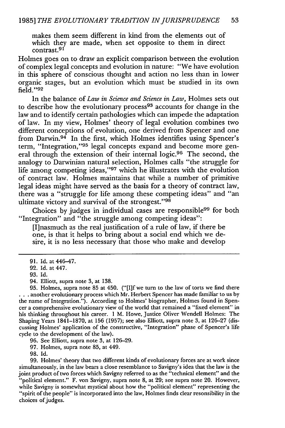makes them seem different in kind from the elements out of which they are made, when set opposite to them in direct contrast.<sup>91</sup>

Holmes goes on to draw an explicit comparison between the evolution of complex legal concepts and evolution in nature: "We have evolution in this sphere of conscious thought and action no less than in lower organic stages, but an evolution which must be studied in its own field."92

In the balance *of Law in Science and Science in Law,* Holmes sets out to describe how the evolutionary process<sup>93</sup> accounts for change in the law and to identify certain pathologies which can impede the adaptation of law. In my view, Holmes' theory of legal evolution combines two different conceptions of evolution, one derived from Spencer and one from Darwin.<sup>94</sup> In the first, which Holmes identifies using Spencer's term, "Integration,"<sup>95</sup> legal concepts expand and become more general through the extension of their internal logic.<sup>96</sup> The second, the analogy to Darwinian natural selection, Holmes calls "the struggle for life among competing ideas,"<sup>97</sup> which he illustrates with the evolution of contract law. Holmes maintains that while a number of primitive legal ideas might have served as the basis for a theory of contract law, there was a "struggle for life among these competing ideas" and "an ultimate victory and survival of the strongest." $98$ 

Choices by judges in individual cases are responsible<sup>99</sup> for both "Integration" and "the struggle among competing ideas":

[I]nasmuch as the real justification of a rule of law, if there be one, is that it helps to bring about a social end which we desire, it is no less necessary that those who make and develop

95. Holmes, supra note 85 at 450. **("[I]f** we turn to the law of torts we find there **...** another evolutionary process which Mr. Herbert Spencer has made familiar to us by the name of Integration."). According to Holmes' biographer, Holmes found in Spencer a comprehensive evolutionary view of the world that remained a "fixed element" in his thinking throughout his career. 1 M. Howe, Justice Oliver Wendell Holmes: The Shaping Years 1841-1870, at 156 (1957); see also Elliott, supra note 3, at 126-27 (discussing Holmes' application of the constructive, "Integration" phase of Spencer's life cycle to the development of the law).

96. See Elliott, supra note **3,** at 126-29.

97. Holmes, supra note 85, at 449.

99. Holmes' theory that two different kinds of evolutionary forces are at work since simultaneously, in the law bears a close resemblance to Savigny's idea that the law is the joint product of two forces which Savigny referred to as the "technical element" and the "political element." F. von Savigny, supra note 8, at 29; see supra note 20. However, while Savigny is somewhat mystical about how the "political element" representing the "spirit of the people" is incorporated into the law, Holmes finds clear resonsibility in the choices of judges.

<sup>91.</sup> Id. at 446-47.

<sup>92.</sup> Id. at 447.

<sup>93.</sup> Id.

<sup>94.</sup> Elliott, supra note 3, at 138.

<sup>98.</sup> Id.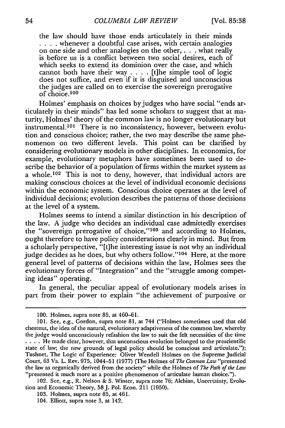the law should have those ends articulately in their minds **. . .** .whenever a doubtful case arises, with certain analogies on one side and other analogies on the other,. . . what really is before us is a conflict between two social desires, each of which seeks to extend its dominion over the case, and which cannot both have their way . **. .** . [t]he simple tool of logic does not suffice, and even if it is disguised and unconscious the judges are called on to exercise the sovereign prerogative of choice.<sup>100</sup>

Holmes' emphasis on choices by judges who have social "ends articulately in their minds" has led some scholars to suggest that at maturity, Holmes' theory of the common law is no longer evolutionary but instrumental.<sup>101</sup> There is no inconsistency, however, between evolution and conscious choice; rather, the two may describe the same phenomenon on two different levels. This point can be clarified by considering evolutionary models in other disciplines. In economics, for example, evolutionary metaphors have sometimes been used to describe the behavior of a population of firms within the market system as a whole.<sup>102</sup> This is not to deny, however, that individual actors are making conscious choices at the level of individual economic decisions within the economic system. Conscious choice operates at the level of individual decisions; evolution describes the patterns of those decisions at the level of a system.

Holmes seems to intend a similar distinction in his description of the law. A judge who decides an individual case admittedly exercises the "sovereign prerogative of choice,"<sup>103</sup> and according to Holmes, ought therefore to have policy considerations clearly in mind. But from a scholarly perspective, "[t]he interesting issue is not why an individual judge decides as he does, but why others follow."<sup>104</sup> Here, at the more general level of patterns of decisions within the law, Holmes sees the evolutionary forces of "Integration" and the "struggle among competing ideas" operating.

In general, the peculiar appeal of evolutionary models arises in part from their power to explain "the achievement of purposive or

102. See, e.g., R. Nelson & S. Winter, supra note 76; Alchian, Uncertainty, Evolution and Economic Theory, 58J. Pol. Econ. 211 (1950).

<sup>100.</sup> Holmes, supra note 85, at 460-61.

<sup>101.</sup> See, e.g., Gordon, supra note 81, at 744 ("Holmes sometimes used that old chestnut, the idea of the natural, evolutionary adaptiveness of the common law, whereby the judge would unconsciously refashion the law to suit the felt necessities of the time **... .**He made clear, however, that unconscious evolution belonged to the prescientific state of law; the new grounds of legal policy should be conscious and articulate."); Tushnet, The Logic of Experience: Oliver Wendell Holmes on the Supreme Judicial Court, 63 Va. L. Rev. 975, 1044-51 (1977) (The Holmes of *The Common Law* "presented the law as organically derived from the society" while the Holmes of *The Path of the Law* "presented it much more as a positive phenomenon of articulate human choice.").

<sup>103.</sup> Holmes, supra note 85, at 461.

<sup>104.</sup> Elliott, supra note 3, at 142.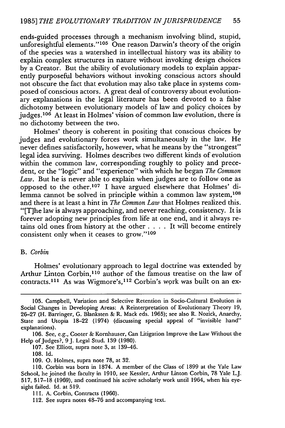ends-guided processes through a mechanism involving blind, stupid, unforesightful elements."<sup>105</sup> One reason Darwin's theory of the origin of the species was a watershed in intellectual history was its ability to explain complex structures in nature without invoking design choices by a Creator. But the ability of evolutionary models to explain apparently purposeful behaviors without invoking conscious actors should not obscure the fact that evolution may also take place in systems composed of conscious actors. A great deal of controversy about evolutionary explanations in the legal literature has been devoted to a false dichotomy between evolutionary models of law and policy choices by judges.<sup>106</sup> At least in Holmes' vision of common law evolution, there is no dichotomy between the two.

Holmes' theory is coherent in positing that conscious choices by judges and evolutionary forces work simultaneously in the law. He never defines satisfactorily, however, what he means by the "strongest" legal idea surviving. Holmes describes two different kinds of evolution within the common law, corresponding roughly to policy and precedent, or the "logic" and "experience" with which he began The *Common Law.* But he is never able to explain when judges are to follow one as opposed to the other.<sup>107</sup> I have argued elsewhere that Holmes' dilemma cannot be solved in principle within a common law system,<sup>108</sup> and there is at least a hint in *The Common Law* that Holmes realized this. "IT]he law is always approaching, and never reaching, consistency. It is forever adopting new principles from life at one end, and it always retains old ones from history at the other . **. .** . It will become entirely consistent only when it ceases to grow."<sup>109</sup>

### *B. Corbin*

Holmes' evolutionary approach to legal doctrine was extended by Arthur Linton Corbin,<sup>110</sup> author of the famous treatise on the law of contracts.<sup>111</sup> As was Wigmore's,<sup>112</sup> Corbin's work was built on an ex-

107. See Elliott, supra note 3, at 139-46.

108. Id.

109. **0.** Holmes, supra note 78, at 32.

<sup>105.</sup> Campbell, Variation and Selective Retention in Socio-Cultural Evolution *in* Social Changes in Developing Areas: A Reinterpretation of Evolutionary Theory 19, 26-27 (H. Barringer, G. Blanksten & R. Mack eds. 1965); see also R. Nozick, Anarchy, State and Utopia 18-22 (1974) (discussing special appeal of "invisible hand" explanations).

<sup>106.</sup> See, e.g., Cooter & Kornhauser, Can Litigation Improve the Law Without the Help ofJudges?, 9J. Legal Stud. 139 (1980).

<sup>110.</sup> Corbin was born in 1874. A member of the Class of 1899 at the Yale Law School, he joined the faculty in 1910, see Kessler, Arthur Linton Corbin, 78 Yale LJ. 517, 517-18 (1969), and continued his active scholarly work until 1964, when his eyesight failed. Id. at 519.

<sup>111.</sup> A. Corbin, Contracts (1960).

<sup>112.</sup> See supra notes 48-76 and accompanying text.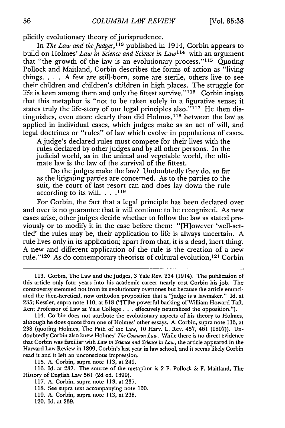plicitly evolutionary theory of jurisprudence.

In *The Law and the Judges*,<sup>113</sup> published in 1914, Corbin appears to build on Holmes' *Law in Science and Science in Law*<sup>114</sup> with an argument that "the growth of the law is an evolutionary process."<sup>115</sup> Quoting Pollock and Maitland, Corbin describes the forms of action as "living things. . **.** . A few are still-born, some are sterile, others live to see their children and children's children in high places. The struggle for life is keen among them and only the fittest survive."<sup>116</sup> Corbin insists that this metaphor is "not to be taken solely in a figurative sense; it states truly the life-story of our legal principles also." $117$  He then distinguishes, even more clearly than did Holmes,<sup>118</sup> between the law as applied in individual cases, which judges make as an act of will, and legal doctrines or "rules" of law which evolve in populations of cases.

A judge's declared rules must compete for their lives with the rules declared by other judges and by all other persons. In the judicial world, as in the animal and vegetable world, the ultimate law is the law of the survival of the fittest.

Do the judges make the law? Undoubtedly they do, so far as the litigating parties are concerned. As to the parties to the suit, the court of last resort can and does lay down the rule according to its will. **.... 119**

For Corbin, the fact that a legal principle has been declared over and over is no guarantee that it will continue to be recognized. As new cases arise, other judges decide whether to follow the law as stated previously or to modify it in the case before them: "[H]owever 'well-settled' the rules may be, their application to life is always uncertain. A rule lives only in its application; apart from that, it is a dead, inert thing. A new and different application of the rule is the creation of a new rule."<sup>120</sup> As do contemporary theorists of cultural evolution,<sup>121</sup> Corbin

115. A. Corbin, supra note 113, at 249.

116. Id. at 237. The source of the metaphor is 2 F. Pollock & F. Maitland, The History of English Law 561 (2d ed. 1899).

117. A. Corbin, supra note 113, at 237.

118. See supra text accompanying note 100.

119. A. Corbin, supra note 113, at 238.

120. Id. at 239.

<sup>113.</sup> Corbin, The Law and the Judges, 3 Yale Rev. 234 (1914). The publication of this article only four years into his academic career nearly cost Corbin his job. The controversy stemmed not from its evolutionary overtones but because the article enunciated the then-heretical, now orthodox proposition that a "judge is a lawmaker." Id. at 235; Kessler, supra note 110, at 518 ("[T]he powerful backing of William Howard Taft, Kent Professor of Law at Yale College ... effectively neutralized the opposition.").

<sup>114.</sup> Corbin does not attribute the evolutionary aspects of his theory to Holmes, although he does quote from one of Holmes' other essays. A. Corbin, supra note 113, at 238 (quoting Holmes, The Path of the Law, **10** Harv. L. Rev. 457, 461 (1897)). Undoubtedly Corbin also knew Holmes' *The Common Law.* While there is no direct evidence that Corbin was familiar with *Law in Science and Science in Law,* the article appeared in the Harvard Law Review in 1899, Corbin's last year in law school, and it seems likely Corbin read it and it left an unconscious impression.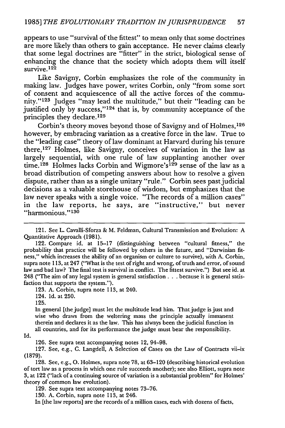appears to use "survival of the fittest" to mean only that some doctrines are more likely than others to gain acceptance. He never claims clearly that some legal doctrines are "fitter" in the strict, biological sense of enhancing the chance that the society which adopts them will itself survive.<sup>122</sup>

Like Savigny, Corbin emphasizes the role of the community in making law. Judges have power, writes Corbin, only "from some sort of consent and acquiescence of all the active forces of the community."<sup>123</sup> Judges "may lead the multitude," but their "leading can be justified only by success," $124$  that is, by community acceptance of the principles they declare.<sup>125</sup>

Corbin's theory moves beyond those of Savigny and of Holmes,<sup>126</sup> however, by embracing variation as a creative force in the law. True to the "leading case" theory of law dominant at Harvard during his tenure there,<sup>127</sup> Holmes, like Savigny, conceives of variation in the law as largely sequential, with one rule of law supplanting another over time.<sup>128</sup> Holmes lacks Corbin and Wigmore's<sup>129</sup> sense of the law as a broad distribution of competing answers about how to resolve a given dispute, rather than as a single unitary "rule." Corbin sees past judicial decisions as a valuable storehouse of wisdom, but emphasizes that the law never speaks with a single voice. "The records of a million cases" in the law reports, he says, are "instructive," but never "harmonious."<sup>130</sup>

123. A. Corbin, supra note 113, at 240.

124. Id. at 250.

125.

In general [the judge] must let the multitude lead him. That judge is just and wise who draws from the weltering mass the principle actually immanent therein and declares it as the law. This has always been the judicial function in all countries, and for its performance the judge must bear the responsibility.

Id.

126. See supra text accompanying notes 12, 94-98.

127. See, e.g., C. Langdell, A Selection of Cases on the Law of Contracts vii-ix (1879).

128. See, e.g., **0.** Holmes, supra note 78, at 63-120 (describing historical evolution of tort law as a process in which one rule succeeds another); see also Elliott, supra note 3, at 122 ("lack of a continuing source of variation is a substantial problem" for Holmes' theory of common law evolution).

129. See supra text accompanying notes 73-76.

130. A. Corbin, supra note 113, at 246.

In [the law reports] are the records of a million cases, each with dozens of facts,

<sup>121.</sup> See L. Cavalli-Sforza & M. Feldman, Cultural Transmission and Evolution: A Quantitative Approach (1981).

<sup>122.</sup> Compare id. at 15-17 (distinguishing between "cultural fitness," the probability that practice will be followed by others in the future, and "Darwinian fitness," which increases the ability of an organism or culture to survive), with A. Corbin, supra note 113, at 247 ("What is the test of right and wrong, of truth and error, of sound law and bad law? The final test is survival in conflict. The fittest survive.") But see id. at 248 ("The aim of any legal system is general satisfaction **...** because it is general satisfaction that supports the system.").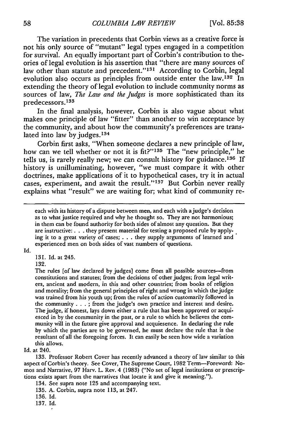The variation in precedents that Corbin views as a creative force is not his only source of "mutant" legal types engaged in a competition for survival. An equally important part of Corbin's contribution to theories of legal evolution is his assertion that "there are many sources of law other than statute and precedent."<sup>131</sup> According to Corbin, legal evolution also occurs as principles from outside enter the law.<sup>132</sup> In extending the theory of legal evolution to include community norms as sources of law, *The Law and the Judges* is more sophisticated than its predecessors. <sup>133</sup>

In the final analysis, however, Corbin is also vague about what makes one principle of law "fitter" than another to win acceptance by the community, and about how the community's preferences are translated into law by judges.<sup>134</sup>

Corbin first asks, "When someone declares a new principle of law, how can we tell whether or not it is fit?"<sup>135</sup> The "new principle," he tells us, is rarely really new; we can consult history for guidance.<sup>136</sup> If history is unilluminating, however, "we must compare it with other doctrines, make applications of it to hypothetical cases, try it in actual cases, experiment, and await the result."<sup>137</sup> But Corbin never really explains what "result" we are waiting for; what kind of community re-

Id.

131. Id. at 245.

132.

The rules [of law declared by judges] come from all possible sources-from constitutions and statutes; from the decisions of other judges; from legal writers, ancient and modern, in this and other countries; from books of religion and morality; from the general principles of right and wrong in which the judge was trained from his youth up; from the rules of action customarily followed in the community ... ; from the judge's own practice and interest and desire. The judge, if honest, lays down either a rule that has been approved or acquiesced in by the community in the past, or a rule to which he believes the community will in the future give approval and acquiesence. In declaring the rule by which the parties are to be governed, he must declare the rule that is the resultant of all the foregoing forces. It can easily be seen how wide a variation this allows.

Id. at 240.

133. Professor Robert Cover has recently advanced a theory of law similar to this aspect of Corbin's theory. See Cover, The Supreme Court, 1982 Term-Foreword: Nomos and Narrative, 97 Harv. L. Rev. 4 (1983) ("No set of legal institutions or prescriptions exists apart from the narratives that locate it and give it meaning.").

134. See supra note 125 and accompanying text.

135. A. Corbin, supra note 113, at 247.

136. Id.

137. Id.

each with its history of a dispute between men, and each with ajudge's decision as to what justice required and why he thought so. They are not harmonious; in them can be found authority for both sides of almost any question. But they are instructive: **...** they present material for testing a proposed rule by applying it to a great variety of cases; . . . they supply arguments of learned and experienced men on both sides of vast numbers of questions.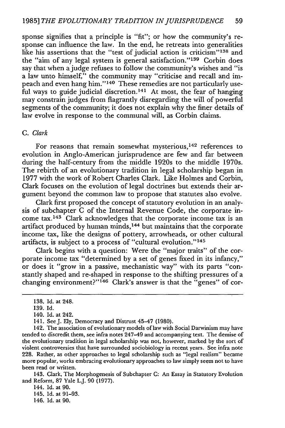sponse signifies that a principle is "fit"; or how the community's response can influence the law. In the end, he retreats into generalities like his assertions that the "test of judicial action is criticism"<sup>138</sup> and the "aim of any legal system is general satisfaction."<sup>139</sup> Corbin does say that when a judge refuses to follow the community's wishes and "is a law unto himself," the community may "criticise and recall and impeach and even hang him."<sup>140</sup> These remedies are not particularly useful ways to guide judicial discretion.<sup>141</sup> At most, the fear of hanging may constrain judges from flagrantly disregarding the will of powerful segments of the community; it does not explain why the finer details of law evolve in response to the communal will, as Corbin claims.

### C. *Clark*

For reasons that remain somewhat mysterious, $142$  references to evolution in Anglo-American jurisprudence are few and far between during the half-century from the middle 1920s to the middle 1970s. The rebirth of an evolutionary tradition in legal scholarship began in 1977 with the work of Robert Charles Clark. Like Holmes and Corbin, Clark focuses on the evolution of legal doctrines but extends their argument beyond the common law to propose that statutes also evolve.

Clark first proposed the concept of statutory evolution in an analysis of subchapter C of the Internal Revenue Code, the corporate income tax.<sup>143</sup> Clark acknowledges that the corporate income tax is an artifact produced by human minds,<sup>144</sup> but maintains that the corporate income tax, like the designs of pottery, arrowheads, or other cultural artifacts, is subject to a process of "cultural evolution."<sup>145</sup>

Clark begins with a question: Were the "major traits" of the corporate income tax "determined by a set of genes fixed in its infancy," or does it "grow in a passive, mechanistic way" with its parts "constantly shaped and re-shaped in response to the shifting pressures of a changing environment?"<sup>146</sup> Clark's answer is that the "genes" of cor-

143. Clark, The Morphogenesis of Subchapter C: An Essay in Statutory Evolution and Reform, 87 Yale L.J. 90 (1977).

144. Id. at 90.

145. Id. at 91-93.

146. Id. at 90.

<sup>138.</sup> Id. at 248.

<sup>139.</sup> Id.

<sup>140.</sup> Id. at 242.

<sup>141.</sup> SeeJ. Ely, Democracy and Distrust 45-47 (1980).

<sup>142.</sup> The association of evolutionary models of law with Social Darwinism may have tended to discredit them, see infra notes 247-49 and accompanying text. The demise of the evolutionary tradition in legal scholarship was not, however, marked by the sort of violent controversies that have surrounded sociobiology in recent years. See infra note 228. Rather, as other approaches to legal scholarship such as "legal realism" became more popular, works embracing evolutionary approaches to law simply seem not to have been read or written.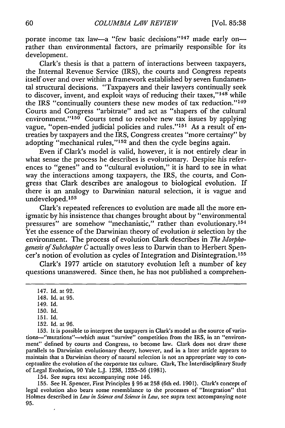porate income tax law—a "few basic decisions"<sup>147</sup> made early on rather than environmental factors, are primarily responsible for its development.

Clark's thesis is that a pattern of interactions between taxpayers, the Internal Revenue Service (IRS), the courts and Congress repeats itself over and over within a framework established by seven fundamental structural decisions. "Taxpayers and their lawyers continually seek to discover, invent, and exploit ways of reducing their taxes,"<sup>148</sup> while the IRS "continually counters these new modes of tax reduction."<sup>149</sup> Courts and Congress "arbitrate" and act as "shapers of the cultural environment." $150$  Courts tend to resolve new tax issues by applying vague, "open-ended judicial policies and rules."<sup>151</sup> As a result of entreaties by taxpayers and the IRS, Congress creates "more certainty" by adopting "mechanical rules,"<sup>152</sup> and then the cycle begins again.

Even if Clark's model is valid, however, it is not entirely clear in what sense the process he describes is evolutionary. Despite his references to "genes" and to "cultural evolution," it is hard to see in what way the interactions among taxpayers, the IRS, the courts, and Congress that Clark describes are analogous to biological evolution. If there is an analogy to Darwinian natural selection, it is vague and undeveloped.<sup>153</sup>

Clark's repeated references to evolution are made all the more enigmatic by his insistence that changes brought about by "environmental pressures" are somehow "mechanistic," rather than evolutionary.<sup>154</sup> Yet the essence of the Darwinian theory of evolution  $\dot{x}$  selection by the environment. The process of evolution Clark describes in *The Morphogenesis of Subchapter C* actually owes less to Darwin than to Herbert Spencer's notion of evolution as cycles of Integration and Disintegration. <sup>155</sup>

Clark's 1977 article on statutory evolution left a number of key questions unanswered. Since then, he has not published a comprehen-

- 150. Id.
- 151. Id.
- 152. Id. at 96.

153. It is possible to interpret the taxpayers in Clark's model as the source of variations-"mutations"-which must "survive" competition from the IRS, in an "environment" defined by courts and Congress, to become law. Clark does not draw these parallels to Darwinian evolutionary theory, however, and in a later article appears to maintain that a Darwinian theory of natural selection is not an appropriate way to conceptualize the evolution of the corporate tax culture. Clark, The Interdisciplinary Study of Legal Evolution, 90 Yale LJ. 1238, 1255-56 (1981).

154. See supra text accompanying note 146.

155. See H. Spencer, First Principles § 95 at 258 (6th ed. 1901). Clark's concept of legal evolution also bears some resemblance to the processes of "Integration" that Holmes described in *Law in Science and Science in Law,* see supra text accompanying note 95.

<sup>147.</sup> Id. at 92.

<sup>148.</sup> Id. at 95.

<sup>149.</sup> Id.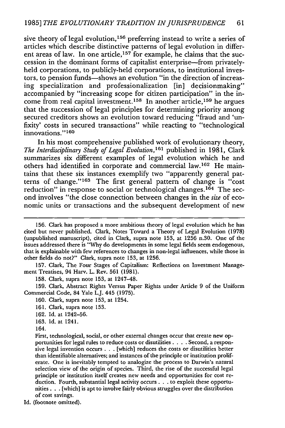sive theory of legal evolution,<sup>156</sup> preferring instead to write a series of articles which describe distinctive patterns of legal evolution in different areas of law. In one article,<sup>157</sup> for example, he claims that the succession in the dominant forms of capitalist enterprise-from privatelyheld corporations, to publicly-held corporations, to institutional investors, to pension funds-shows an evolution "in the direction of increasing specialization and professionalization [in] decisionmaking" accompanied by "increasing scope for citizen participation" in the income from real capital investment.<sup>158</sup> In another article,<sup>159</sup> he argues that the succession of legal principles for determining priority among secured creditors shows an evolution toward reducing "fraud and 'unfixity' costs in secured transactions" while reacting to "technological innovations."<sup>160</sup>

In his most comprehensive published work of evolutionary theory, *The Interdisciplinay Study of Legal Evolution,' <sup>6</sup> <sup>1</sup>*published in 1981, Clark summarizes six different examples of legal evolution which he and others had identified in corporate and commercial law.<sup>162</sup> He maintains that these six instances exemplify two "apparently general patterns of change."<sup>163</sup> The first general pattern of change is "cost reduction" in response to social or technological changes.<sup>164</sup> The second involves "the close connection between changes in the *size* of economic units or transactions and the subsequent development of new

157. Clark, The Four Stages of Capitalism: Reflections on Investment Management Treatises, 94 Harv. L. Rev. 561 (1981).

158. Clark, supra note 153, at 1247-48.

159. Clark, Abstract Rights Versus Paper Rights under Article 9 of the Uniform Commercial Code, 84 Yale LJ. 445 (1975).

160. Clark, supra note 153, at 1254.

161. Clark, supra note 153.

162. Id. at 1242-56.

163. Id. at 1241.

164.

First, technological, social, or other external changes occur that create new opportunities for legal rules to reduce costs or disutilities. . **.** . Second, a responsive legal invention occurs **. .** . [which] reduces the costs or disutilities better than identifiable alternatives; and instances of the principle or institution proliferate. One is inevitably tempted to analogize the process to Darwin's natural selection view of the origin of species. Third, the rise of the successful legal principle or institution itself creates new needs and opportunities for cost reduction. Fourth, substantial legal activity occurs. **. .** to exploit these opportunities. **.** . [which] is apt to involve fairly obvious struggles over the distribution of cost savings.

Id. (footnote omitted).

<sup>156.</sup> Clark has proposed a more ambitious theory of legal evolution which he has cited but never published. Clark, Notes Toward a Theory of Legal Evolution (1978) (unpublished manuscript), cited in Clark, supra note 153, at 1256 n.30. One of the issues addressed there is "Why do developments in some legal fields seem endogenous, that is explainable with few references to changes in non-legal influences, while those in other fields do not?" Clark, supra note 153, at 1256.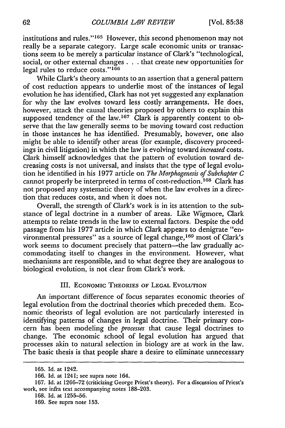institutions and rules."<sup>165</sup> However, this second phenomenon may not really be a separate category. Large scale economic units or transactions seem to be merely a particular instance of Clark's "technological, social, or other external changes. **. .** that create new opportunities for legal rules to reduce costs."166

While Clark's theory amounts to an assertion that a general pattern of cost reduction appears to underlie most of the instances of legal evolution he has identified, Clark has not yet suggested any explanation for why the law evolves toward less costly arrangements. He does, however, attack the causal theories proposed by others to explain this supposed tendency of the law.<sup>167</sup> Clark is apparently content to observe that the law generally seems to be moving toward cost reduction in those instances he has identified. Presumably, however, one also might be able to identify other areas (for example, discovery proceedings in civil litigation) in which the law is evolving toward *increased* costs. Clark himself acknowledges that the pattern of evolution toward decreasing costs is not universal, and insists that the type of legal evolution he identified in his 1977 article on *The Morphogenesis of Subchapter C* cannot properly be interpreted in terms of cost-reduction.168 Clark has not proposed any systematic theory of when the law evolves in a direction that reduces costs, and when it does not.

Overall, the strength of Clark's work is in its attention to the substance of legal doctrine in a number of areas. Like Wigmore, Clark attempts to relate trends in the law to external factors. Despite the odd passage from his 1977 article in which Clark appears to denigrate "environmental pressures" as a source of legal change, 169 most of Clark's work seems to document precisely that pattern-the law gradually accommodating itself to changes in the environment. However, what mechanisms are responsible, and to what degree they are analogous to biological evolution, is not clear from Clark's work.

## III. ECONOMIC THEORIES OF LEGAL EVOLUTION

An important difference of focus separates economic theories of legal evolution from the doctrinal theories which preceded them. Economic theorists of legal evolution are not particularly interested in identifying patterns of changes in legal doctrine. Their primary concern has been modeling the *processes* that cause legal doctrines to change. The economic school of legal evolution has argued that processes akin to natural selection in biology are at work in the law. The basic thesis is that people share a desire to eliminate unnecessary

**<sup>165.</sup>** Id. at 1242.

<sup>166.</sup> **Id.** at 1241; see supra note 164.

**<sup>167.</sup>** Id. at 1266-72 (criticizing George Priest's theory). For a discussion of Priest's work, see infra text accompanying notes **188-203.**

**<sup>168.</sup>** Id. at **1255-56.**

<sup>169.</sup> See supra note 153.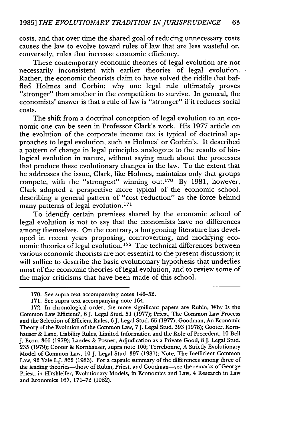costs, and that over time the shared goal of reducing unnecessary costs causes the law to evolve toward rules of law that are less wasteful or, conversely, rules that increase economic efficiency.

These contemporary economic theories of legal evolution are not necessarily inconsistent with earlier theories of legal evolution. Rather, the economic theorists claim to have solved the riddle that baf-<br>fled Holmes and Corbin: why one legal rule ultimately proves "stronger" than another in the competition to survive. In general, the economists' answer is that a rule of law is "stronger" if it reduces social costs.

The shift from a doctrinal conception of legal evolution to an economic one can be seen in Professor Clark's work. His 1977 article on the evolution of the corporate income tax is typical of doctrinal approaches to legal evolution, such as Holmes' or Corbin's. It described a pattern of change in legal principles analogous to the results of biological evolution in nature, without saying much about the processes that produce these evolutionary changes in the law. To the extent that he addresses the issue, Clark, like Holmes, maintains only that groups compete, with the "strongest" winning out.<sup>170</sup> By 1981, however, Clark adopted a perspective more typical of the economic school, describing a general pattern of "cost reduction" as the force behind many patterns of legal evolution.<sup>171</sup>

To identify certain premises shared by the economic school of legal evolution is not to say that the economists have no differences among themselves. On the contrary, a burgeoning literature has developed in recent years proposing, controverting, and modifying economic theories of legal evolution. 172 The technical differences between various economic theorists are not essential to the present discussion; it will suffice to describe the basic evolutionary hypothesis that underlies most of the economic theories of legal evolution, and to review some of the major criticisms that have been made of this school.

<sup>170.</sup> See supra text accompanying notes 146-52.

<sup>171.</sup> See supra text accompanying note 164.

<sup>172.</sup> In chronological order, the more significant papers are Rubin, Why Is the Common Law Efficient?, 6J. Legal Stud. 51 (1977); Priest, The Common Law Process and the Selection of Efficient Rules, 6J. Legal Stud. 65 (1977); Goodman, An Economic Theory of the Evolution of the Common Law, 7J. Legal Stud. 393 (1978); Cooter, Kornhauser & Lane, Liability Rules, Limited Information and the Role of Precedent, 10 Bell J. Econ. 366 (1979); Landes & Posner, Adjudication as a Private Good, 8J. Legal Stud. 235 (1979); Cooter & Kornhauser, supra note 106; Terrebonne, A Strictly Evolutionary Model of Common Law, 10 J. Legal Stud. 397 (1981); Note, The Inefficient Common Law, 92 Yale LJ. 862 (1983). For a capsule summary of the differences among three of the leading theories-those of Rubin, Priest, and Goodman-see the remarks of George Priest, in Hirshleifer, Evolutionary Models, in Economics and Law, 4 Research in Law and Economics 167, 171-72 (1982).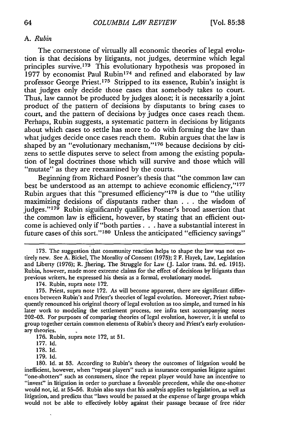## A. *Rubin*

The cornerstone of virtually all economic theories of legal evolution is that decisions by litigants, not judges, determine which legal principles survive.<sup>173</sup> This evolutionary hypothesis was proposed in 1977 by economist Paul Rubin<sup>174</sup> and refined and elaborated by law professor George Priest.175 Stripped to its essence, Rubin's insight is that judges only decide those cases that somebody takes to court. Thus, law cannot be produced by judges alone; it is necessarily a joint product of the pattern of decisions by disputants to bring cases to court, and the pattern of decisions by judges once cases reach them. Perhaps, Rubin suggests, a systematic pattern in decisions by litigants about which cases to settle has more to do with forming the law than what judges decide once cases reach them. Rubin argues that the law is shaped by an "evolutionary mechanism,"<sup>176</sup> because decisions by citizens to settle disputes serve to select from among the existing population of legal doctrines those which will survive and those which will "mutate" as they are reexamined by the courts.

Beginning from Richard Posner's thesis that "the common law can best be understood as an attempt to achieve economic efficiency,"<sup>177</sup> Rubin argues that this "presumed efficiency"<sup>178</sup> is due to "the utility maximizing decisions of disputants rather than . . **.** the wisdom of judges."<sup>179</sup> Rubin siguificantly qualifies Posner's broad assertion that the common law is efficient, however, by stating that an efficient outcome is achieved only if "both parties. **. .** have a substantial interest in future cases of this sort."<sup>180</sup> Unless the anticipated "efficiency savings"

173. The suggestion that community reaction helps to shape the law was not entirely new. See A. Bickel, The Morality of Consent (1975); 2 F. Hayek, Law, Legislation and Liberty (1976); R. Jhering, The Struggle for Law (J. Lalor trans. 2d. ed. 1915). Rubin, however, made more extreme claims for the effect of decisions by litigants than previous writers, he expressed his thesis as a formal, evolutionary model.

175. Priest, supra note 172. As will become apparent, there are significant differences between Rubin's and Priest's theories of legal evolution. Moreover, Priest subsequently renounced his original theory of legal evolution as too simple, and turned in his later work to modeling the settlement process, see infra text accompanying notes 202-03. For purposes of comparing theories of legal evolution, however, it is useful to group together certain common elements of Rubin's theory and Priest's early evolutionary theories.

176. Rubin, supra note 172, at 51.

177. Id.

178. Id.

179. Id.

180. **Id.** at 53. According to Rubin's theory the outcomes of litigation would be inefficient, however, when "repeat players" such as insurance companies litigate against "one-shotters" such as consumers, since the repeat player would have an incentive to "invest" in litigation in order to purchase a favorable precedent, while the one-shotter would not, id. at 55-56. Rubin also says that his analysis applies to legislation, as well as litigation, and predicts that "laws would be passed at the expense of large groups which would not be able to effectively lobby against their passage because of free rider

<sup>174.</sup> Rubin, supra note 172.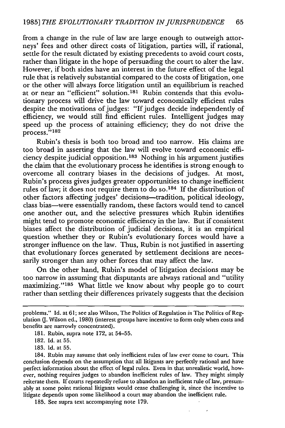from a change in the rule of law are large enough to outweigh attorneys' fees and other direct costs of litigation, parties will, if rational, settle for the result dictated by existing precedents to avoid court costs, rather than litigate in the hope of persuading the court to alter the law. However, if both sides have an interest in the future effect of the legal rule that is relatively substantial compared to the costs of litigation, one or the other will always force litigation until an equilibrium is reached at or near an "efficient" solution.<sup>181</sup> Rubin contends that this evolutionary process will drive the law toward economically efficient rules despite the motivations of judges: "If judges decide independently of efficiency, we would still find efficient rules. Intelligent judges may speed up the process of attaining efficiency; they do not drive the  $process.^{"182}$ 

Rubin's thesis is both too broad and too narrow. His claims are too broad in asserting that the law will evolve toward economic efficiency despite judicial opposition. 183 Nothing in his argument justifies the claim that the evolutionary process he identifies is strong enough to overcome all contrary biases in the decisions of judges. At most, Rubin's process gives judges greater opportunities to change inefficient rules of law; it does not require them to do so.<sup>184</sup> If the distribution of other factors affecting judges' decisions-tradition, political ideology, class bias-were essentially random, these factors would tend to cancel one another out, and the selective pressures which Rubin identifies might tend to promote economic efficiency in the law. But if consistent biases affect the distribution of judicial decisions, it is an empirical question whether they or Rubin's evolutionary forces would have a stronger influence on the law. Thus, Rubin is not justified in asserting that evolutionary forces generated by settlement decisions are necessarily stronger than any other forces that may affect the law.

On the other hand, Rubin's model of litigation decisions may be too narrow in assuming that disputants are always rational and "utility maximizing."<sup>185</sup> What little we know about why people go to court rather than settling their differences privately suggests that the decision

183. Id. at 55.

185. See supra text accompanying note 179.

problems." Id. at 61; see also Wilson, The Politics of Regulation *in* The Politics of Regulation **(I.** Wilson ed., 1980) (interest groups have incentive to form only when costs and benefits are narrowly concentrated).

<sup>181.</sup> Rubin, supra note 172, at 54-55.

<sup>182.</sup> Id. at 55.

<sup>184.</sup> Rubin may assume that only inefficient rules of law ever come to court. This conclusion depends on the assumption that all litigants are perfectly rational and have perfect information about the effect of legal rules. Even in that unrealistic world, however, nothing requires judges to abandon inefficient rules of law. They might simply reiterate them. If courts repeatedly refuse to abandon an inefficient rule of law, presumably at some point rational litigants would cease challenging it, since the incentive to litigate depends upon some likelihood a court may abandon the inefficient rule.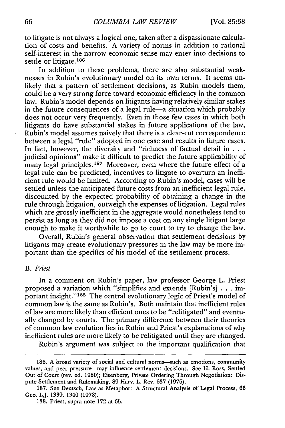to litigate is not always a logical one, taken after a dispassionate calculation of costs and benefits. A variety of norms in addition to rational self-interest in the narrow economic sense may enter into decisions to settle or litigate.<sup>186</sup>

In addition to these problems, there are also substantial weaknesses in Rubin's evolutionary model on its own terms. It seems unlikely that a pattern of settlement decisions, as Rubin models them, could be a very strong force toward economic efficiency in the common law. Rubin's model depends on litigants having relatively similar stakes in the future consequences of a legal rule-a situation which probably does not occur very frequently. Even in those few cases in which both litigants do have substantial stakes in future applications of the law, Rubin's model assumes naively that there is a clear-cut correspondence between a legal "rule" adopted in one case and results in future cases. In fact, however, the diversity and "richness of factual detail in **.. .** judicial opinions" make it difficult to predict the future applicability of many legal principles.<sup>187</sup> Moreover, even where the future effect of a legal rule can be predicted, incentives to litigate to overturn an inefficient rule would be limited. According to Rubin's model, cases will be settled unless the anticipated future costs from an inefficient legal rule, discounted by the expected probability of obtaining a change in the rule through litigation, outweigh the expenses of litigation. Legal rules which are grossly inefficient in the aggregate would nonetheless tend to persist as long as they did not impose a cost on any single litigant large enough to make it worthwhile to go to court to try to change the law.

Overall, Rubin's general observation that settlement decisions by litigants may create evolutionary pressures in the law may be more important than the specifics of his model of the settlement process.

### *B. Priest*

In a comment on Rubin's paper, law professor George L. Priest proposed a variation which "simplifies and extends [Rubin's] . . .important insight."<sup>188</sup> The central evolutionary logic of Priest's model of common law is the same as Rubin's. Both maintain that inefficient rules of law are more likely than efficient ones to be "relitigated" and eventually changed by courts. The primary difference between their theories of common law evolution lies in Rubin and Priest's explanations of why inefficient rules are more likely to be relitigated until they are changed.

Rubin's argument was subject to the important qualification that

<sup>186.</sup> A broad variety of social and cultural norms-such as emotions, community values, and peer pressure—may influence settlement decisions. See H. Ross, Settled Out of Court (rev. ed. **1980);** Eisenberg, Private Ordering Through Negotiation: Dispute Settlement and Rulemaking, **89** Harv. L. Rev. **637 (1976).**

**<sup>187.</sup>** See Deutsch, Law as Metaphor: A Structural Analysis of Legal Process, 66 Geo. LJ. 1339, 1340 (1978).

<sup>188.</sup> Priest, supra note 172 at 65.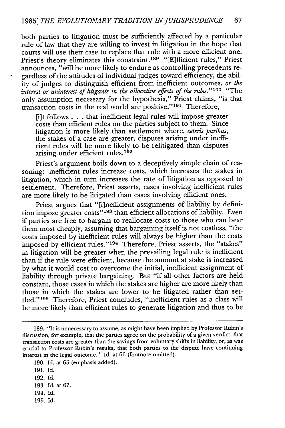both parties to litigation must be sufficiently affected by a particular rule of law that they are willing to invest in litigation in the hope that courts will use their case to replace that rule with a more efficient one. Priest's theory eliminates this constraint.<sup>189</sup> "[E]fficient rules," Priest announces, "will be more likely to endure as controlling precedents regardless of the attitudes of individual judges toward efficiency, the ability of judges to distinguish efficient from inefficient outcomes, *or the interest or uninterest of litigants in the allocative effects of the rules."' <sup>90</sup>*"The only assumption necessary for the hypothesis," Priest claims, "is that transaction costs in the real world are positive."<sup>191</sup> Therefore,

[i]t follows **. . .** that inefficient legal rules will impose greater costs than efficient rules on the parties subject to them. Since litigation is more likely than settlement where, *ceteris paribus,* the stakes of a case are greater, disputes arising under inefficient rules will be more likely to be relitigated than disputes arising under efficient rules.<sup>192</sup>

Priest's argument boils down to a deceptively simple chain of reasoning: inefficient rules increase costs, which increases the stakes in litigation, which in turn increases the rate of litigation as opposed to settlement. Therefore, Priest asserts, cases involving inefficient rules are more likely to be litigated than cases involving efficient ones.

Priest argues that "[i]nefficient assignments of liability by definition impose greater costs"<sup>193</sup> than efficient allocations of liability. Even if parties are free to bargain to reallocate costs to those who can bear them most cheaply, assuming that bargaining itself is not costless, "the costs imposed by inefficient rules will always be higher than the costs imposed by efficient rules."<sup>194</sup> Therefore, Priest asserts, the "stakes" in litigation will be greater when the prevailing legal rule is inefficient than if the rule were efficient, because the amount at stake is increased by what it would cost to overcome the initial, inefficient assignment of liability through private bargaining. But "if all other factors are held constant, those cases in which the stakes are higher are more likely than those in which the stakes are lower to be litigated rather than settled."<sup>195</sup> Therefore, Priest concludes, "inefficient rules as a class will be more likely than efficient rules to generate litigation and thus to be

192. Id.

- 194. Id.
- 195. Id.

<sup>189. &</sup>quot;It is unnecessary to assume, as might have been implied by Professor Rubin's discussion, for example, that the parties agree on the probability of a given verdict, that transaction costs are greater than the savings from voluntary shifts in liability, or, as was crucial to Professor Rubin's results, that both parties to the dispute have continuing interest in the legal outcome." Id. at 66 (footnote omitted).

<sup>190.</sup> Id. at 65 (emphasis added).

<sup>191.</sup> Id.

<sup>193.</sup> Id. at 67.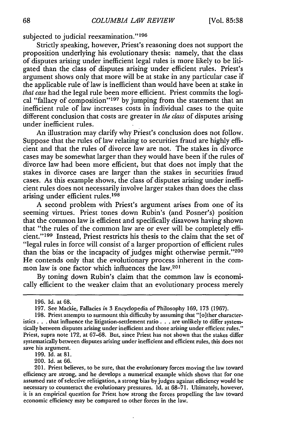subjected to judicial reexamination."<sup>196</sup>

Strictly speaking, however, Priest's reasoning does not support the proposition underlying his evolutionary thesis: namely, that the class of disputes arising under inefficient legal rules is more likely to be litigated than the class of disputes arising under efficient rules. Priest's argument shows only that more will be at stake in any particular case if the applicable rule of law is inefficient than would have been at stake in *that case* had the legal rule been more efficient. Priest commits the logical "fallacy of composition"<sup>197</sup> by jumping from the statement that an inefficient rule of law increases costs in individual cases to the quite different conclusion that costs are greater in *the class* of disputes arising under inefficient rules.

An illustration may clarify why Priest's conclusion does not follow. Suppose that the rules of law relating to securities fraud are highly efficient and that the rules of divorce law are not. The stakes in divorce cases may be somewhat larger than they would have been if the rules of divorce law had been more efficient, but that does not imply that the stakes in divorce cases are larger than the stakes in securities fraud cases. As this example shows, the class of disputes arising under inefficient rules does not necessarily involve larger stakes than does the class arising under efficient rules.<sup>198</sup>

A second problem with Priest's argument arises from one of its seeming virtues. Priest tones down Rubin's (and Posner's) position that the common law is efficient and specifically disavows having shown that "the rules of the common law are or ever will be completely efficient."<sup>199</sup> Instead, Priest restricts his thesis to the claim that the set of "legal rules in force will consist of a larger proportion of efficient rules than the bias or the incapacity of judges might otherwise permit."200 He contends only that the evolutionary process inherent in the common law is one factor which influences the law.<sup>201</sup>

By toning down Rubin's claim that the common law is economically efficient to the weaker claim that an evolutionary process merely

199. Id. at 81.

200. Id. at 66.

201. Priest believes, to be sure, that the evolutionary forces moving the law toward efficiency are strong, and he develops a numerical example which shows that for one assumed rate of selective relitigation, a strong bias by judges against efficiency would be necessary to counteract the evolutionary pressures. Id. at 68-71. Ultimately, however, it is an empirical question for Priest how strong the forces propelling the law toward economic efficiency may be compared to other forces in the law.

<sup>196.</sup> Id. at 68.

<sup>197.</sup> See Mackie, Fallacies *in* 3 Encyclopedia of Philosophy 169, 173 (1967).

<sup>198.</sup> Priest attempts to surmount this difficulty by assuming that "[o]ther characteristics **...** that influence the litigation-settlement ratio **...** are unlikely to differ systemtically between disputes arising under inefficient and those arising under efficient rules." Priest, supra note 172, at 67-68. But, since Priest has not shown that the stakes differ systematically between disputes arising under inefficient and efficient rules, this does not save his argument.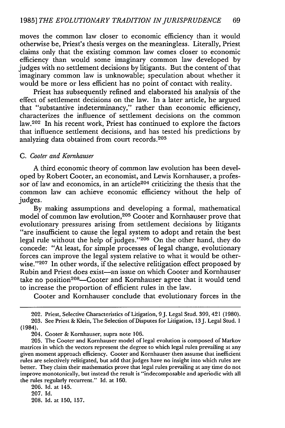moves the common law closer to economic efficiency than it would otherwise be, Priest's thesis verges on the meaningless. Literally, Priest claims only that the existing common law comes closer to economic efficiency than would some imaginary common law developed by judges with no settlement decisions by litigants. But the content of that imaginary common law is unknowable; speculation about whether it would be more or less efficient has no point of contact with reality.

Priest has subsequently refined and elaborated his analysis of the effect of settlement decisions on the law. In a later article, he argued that "substantive indeterminancy," rather than economic efficiency, characterizes the influence of settlement decisions on the common law.<sup>202</sup> In his recent work, Priest has continued to explore the factors that influence settlement decisions, and has tested his predictions by analyzing data obtained from court records.<sup>203</sup>

#### *C. Cooter and Kornhauser*

A third economic theory of common law evolution has been developed by Robert Cooter, an economist, and Lewis Kornhauser, a professor of law and economics, in an article<sup>204</sup> criticizing the thesis that the common law can achieve economic efficiency without the help of judges.

By making assumptions and developing a formal, mathematical model of common law evolution,<sup>205</sup> Cooter and Kornhauser prove that evolutionary pressures arising from settlement decisions by litigants "are insufficient to cause the legal system to adopt and retain the best legal rule without the help of judges."<sup>206</sup> On the other hand, they do concede: "At least, for simple processes of legal change, evolutionary forces can improve the legal system relative to what it would be otherwise." 207 In other words, if the selective relitigation effect proposed by Rubin and Priest does exist-an issue on which Cooter and Kornhauser take no position<sup>208</sup>-Cooter and Kornhauser agree that it would tend to increase the proportion of efficient rules in the law.

Cooter and Kornhauser conclude that evolutionary forces in the

<sup>202.</sup> Priest, Selective Characteristics of Litigation, 9J. Legal Stud. 399, 421 (1980). 203. See Priest & Klein, The Selection of Disputes for Litigation, 13J. Legal Stud. **1** (1984).

<sup>204.</sup> Cooter & Kornhauser, supra note 106.

<sup>205.</sup> The Cooter and Kornhauser model of legal evolution is composed of Markov matrices in which the vectors represent the degree to which legal rules prevailing at any given moment approach efficiency. Cooter and Kornhauser then assume that inefficient rules are selectively relitigated, but add that judges have no insight into which rules are better. They claim their mathematics prove that legal rules prevailing at any time do not improve monotonically, but instead the result is "indecomposable and aperiodic with all the rules regularly recurrent." Id. at 160.

<sup>206.</sup> Id. at 145.

<sup>207.</sup> Id.

<sup>208.</sup> Id. at 150, 157.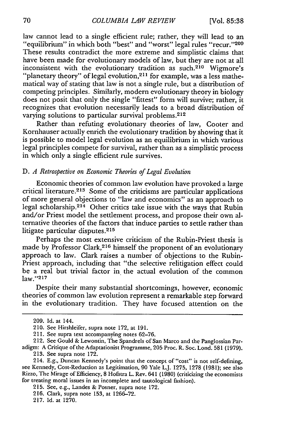law cannot lead to a single efficient rule; rather, they will lead to an "equilibrium" in which both "best" and "worst" legal rules "recur."<sup>209</sup> These results contradict the more extreme and simplistic claims that have been made for evolutionary models of law, but they are not at all inconsistent with the evolutionary tradition as such.<sup>210</sup> Wigmore's "planetary theory" of legal evolution,<sup>211</sup> for example, was a less mathematical way of stating that law is not a single rule, but a distribution of competing principles. Similarly, modern evolutionary theory in biology does not posit that only the single "fittest" form will survive; rather, it recognizes that evolution necessarily leads to a broad distribution of varying solutions to particular survival problems.<sup>212</sup>

Rather than refuting evolutionary theories of law, Cooter and Kornhauser actually enrich the evolutionary tradition by showing that it is possible to model legal evolution as an equilibrium in which various legal principles compete for survival, rather than as a simplistic process in which only a single efficient rule survives.

## D. *A Retrospective on Economic Theories of Legal Evolution*

Economic theories of common law evolution have provoked a large critical literature.213 Some of the criticisms are particular applications of more general objections to "law and economics" as an approach to legal scholarship.<sup>214</sup> Other critics take issue with the ways that Rubin and/or Priest model the settlement process, and propose their own alternative theories of the factors that induce parties to settle rather than litigate particular disputes. <sup>215</sup>

Perhaps the most extensive criticism of the Rubin-Priest thesis is made by Professor Clark,<sup>216</sup> himself the proponent of an evolutionary approach to law. Clark raises a number of objections to the Rubin-Priest approach, including that "the selective relitigation effect could be a real but trivial factor in the actual evolution of the common law."<sup>217</sup>

Despite their many substantial shortcomings, however, economic theories of common law evolution represent a remarkable step forward in the evolutionary tradition. They have focused attention on the

<sup>209.</sup> Id. at 144.

<sup>210.</sup> See Hirshleifer, supra note 172, at 191.

<sup>211.</sup> See supra text accompanying notes 62-76.

<sup>212.</sup> See Gould & Lewontin, The Spandrels of San Marco and the Panglossian Paradigm: A Critique of the Adaptationist Programme, 205 Proc. R. Soc. Lond. 581 (1979). 213. See supra note 172.

<sup>214.</sup> E.g., Duncan Kennedy's point that the concept of "cost" is not self-defining, see Kennedy, Cost-Reduction as Legitimation, 90 Yale L.J. 1275, 1278 (1981); see also Rizzo, The Mirage of Efficiency, 8 Hofstra L. Rev. 641 (1980) (criticizing the economists for treating moral issues in an incomplete and tautological fashion).

<sup>215.</sup> See, e.g., Landes & Posner, supra note 172.

<sup>216.</sup> Clark, supra note 153, at 1266-72.

<sup>217.</sup> Id. at 1270.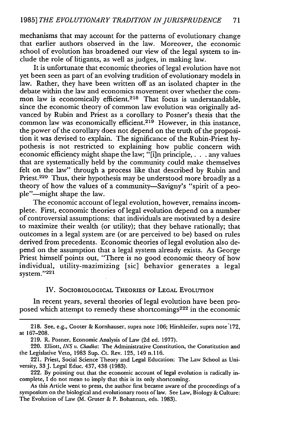mechanisms that may account for the patterns of evolutionary change that earlier authors observed in the law. Moreover, the economic school of evolution has broadened our view of the legal system to include the role of litigants, as well as judges, in making law.

It is unfortunate that economic theories of legal evolution have not yet been seen as part of an evolving tradition of evolutionary models in law. Rather, they have been written off as an isolated chapter in the debate within the law and economics movement over whether the common law is economically efficient.<sup>218</sup> That focus is understandable, since the economic theory of common law evolution was originally advanced by Rubin and Priest as a corollary to Posner's thesis that the common law was economically efficient.<sup>219</sup> However, in this instance, the power of the corollary does not depend on the truth of the proposition it was devised to explain. The significance of the Rubin-Priest hypothesis is not restricted to explaining how public concern with economic efficiency might shape the law; "[i]n principle,. . . any values that are systematically held by the community could make themselves felt on the law" through a process like that described by Rubin and Priest.<sup>220</sup> Thus, their hypothesis may be understood more broadly as a theory of how the values of a community-Savigny's "spirit of a people"-might shape the law.

The economic account of legal evolution, however, remains incomplete. First, economic theories of legal evolution depend on a number of controversial assumptions: that individuals are motivated by a desire to maximize their wealth (or utility); that they behave rationally; that outcomes in a legal system are (or are perceived to be) based on rules derived from precedents. Economic theories of legal evolution also depend on the assumption that a legal system already exists. As George Priest himself points out, "There is no good economic theory of how individual, utility-mazimizing [sic] behavior generates a legal system."221

## IV. SOCIOBIOLOGICAL THEORIES OF LEGAL EVOLUTION

In recent years, several theories of legal evolution have been proposed which attempt to remedy these shortcomings<sup>222</sup> in the economic

<sup>218.</sup> See, e.g., Cooter & Kornhauser, supra note 106; Hirshleifer, supra note 172, at 167-208.

<sup>219.</sup> R. Posner, Economic Analysis of Law (2d ed. 1977).

<sup>220.</sup> Elliott, *INS v. Chadha:* The Administrative Constitution, the Constitution and the Legislative Veto, 1983 Sup. Ct. Rev. 125, 149 n. **116.**

<sup>221.</sup> Priest, Social Science Theory and Legal Education: The Law School as University, 33 **J.** Legal Educ. 437, 438 (1983).

<sup>222.</sup> By pointing out that the economic account of legal evolution is radically incomplete, I do not mean to imply that this is its only shortcoming.

As this Article went to press, the author first became aware of the proceedings of a symposium on the biological and evolutionary roots of law. See Law, Biology & Culture: The Evolution of Law (M. Gruter & P. Bohannan, eds. 1983).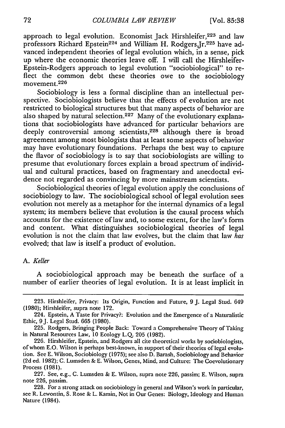approach to legal evolution. Economist Jack Hirshleifer,<sup>223</sup> and law professors Richard Epstein<sup>224</sup> and William H. Rodgers, Jr.<sup>225</sup> have advanced independent theories of legal evolution which, in a sense, pick up where the economic theories leave off. I will call the Hirshleifer-Epstein-Rodgers approach to legal evolution "sociobiological" to reflect the common debt these theories owe to the sociobiology movement.<sup>226</sup>

Sociobiology is less a formal discipline than an intellectual perspective. Sociobiologists believe that the effects of evolution are not restricted to biological structures but that many aspects of behavior are also shaped by natural selection.<sup>227</sup> Many of the evolutionary explanations that sociobiologists have advanced for particular behaviors are deeply controversial among scientists,<sup>228</sup> although there is broad agreement among most biologists that at least some aspects of behavior may have evolutionary foundations. Perhaps the best way to capture the flavor of sociobiology is to say that sociobiologists are willing to presume that evolutionary forces explain a broad spectrum of individual and cultural practices, based on fragmentary and anecdoctal evidence not regarded as convincing by more mainstream scientists.

Sociobiological theories of legal evolution apply the conclusions of sociobiology to law. The sociobiological school of legal evolution sees evolution not merely as a metaphor for the internal dynamics of a legal system; its members believe that evolution is the causal process which accounts for the existence of law and, to some extent, for the law's form and content. What distinguishes sociobiological theories of legal evolution is not the claim that law evolves, but the claim that law *has* evolved; that law is itself a product of evolution.

## *A. Keller*

A sociobiological approach may be beneath the surface of a number of earlier theories of legal evolution. It is at least implicit in

<sup>223.</sup> Hirshleifer, Privacy: Its Origin, Function and Future, 9 J. Legal Stud. 649 (1980); Hirshlcifer, supra note 172.

<sup>224.</sup> Epstein, A Taste for Privacy?: Evolution and the Emergence of a Naturalistic Ethic, **9j.** Legal Stud. 665 (1980).

<sup>225.</sup> Rodgers, Bringing People Back: Toward a Comprehensive Theory of Taking in Natural Resources Law, 10 Ecology L.Q. 205 (1982).

<sup>226.</sup> Hirshleifer, Epstein, and Rodgers all cite theoretical works by sociobiologists, of whom E.O. Wilson is perhaps best-known, in support of their theories of legal evolution. See E. Wilson, Sociobiology (1975); see also D. Barash, Sociobiology and Behavior (2d ed. 1982); C. Lumsden & E. Wilson, Genes, Mind, and Culture: The Coevolutionary Process (1981).

<sup>227.</sup> See, e.g., C. Lumsden & E. Wilson, supra note 226, passim; E. Wilson, supra note 226, passim.

<sup>228.</sup> For a strong attack on sociobiology in general and Wilson's work in particular, see R. Lewontin, S. Rose & L. Kamin, Not in Our Genes: Biology, Ideology and Human Nature (1984).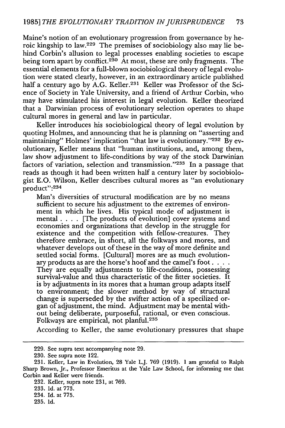Maine's notion of an evolutionary progression from governance by heroic kingship to law.<sup>229</sup> The premises of sociobiology also may lie behind Corbin's allusion to legal processes enabling societies to escape being torn apart by conflict.<sup>230</sup> At most, these are only fragments. The essential elements for a full-blown sociobiological theory of legal evolution were stated clearly, however, in an extraordinary article published half a century ago by A.G. Keller.<sup>231</sup> Keller was Professor of the Science of Society in Yale University, and a friend of Arthur Corbin, who may have stimulated his interest in legal evolution. Keller theorized that a Darwinian process of evolutionary selection operates to shape cultural mores in general and law in particular.

Keller introduces his sociobiological theory of legal evolution by quoting Holmes, and announcing that he is planning on "asserting and maintaining" Holmes' implication "that law is evolutionary."<sup>232</sup> By evolutionary, Keller means that "human institutions, and, among them, law show adjustment to life-conditions by way of the stock Darwinian factors of variation, selection and transmission." $233$  In a passage that reads as though it had been written half a century later by sociobiologist E.O. Wilson, Keller describes cultural mores as "an evolutionary product": 234

Man's diversities of structural modification are by no means sufficient to secure his adjustment to the extremes of environment in which he lives. His typical mode of adjustment is mental . **. .** . [The products of evolution] cover systems and economies and organizations that develop in the struggle for existence and the competition with fellow-creatures. They therefore embrace, in short, all the folkways and mores, and whatever develops out of these in the way of more definite and settled social forms. [Cultural] mores are as much evolutionary products as are the horse's hoof and the camel's foot **....** They are equally adjustments to life-conditions, possessing survival-value and thus characteristic of the fitter societies. It is by adjustments in its mores that a human group adapts itself to environment; the slower method by way of structural change is superseded by the swifter action of a specilized organ of adjustment, the mind. Adjustment may be mental without being deliberate, purposeful, rational, or even conscious. Folkways are empirical, not planful.<sup>235</sup>

According to Keller, the same evolutionary pressures that shape

- 232. Keller, supra note 231, at 769.
- 233. Id. at 773.

235. Id.

<sup>229.</sup> See supra text accompanying note 29.

<sup>230.</sup> See supra note 122.

<sup>231.</sup> Keller, Law in Evolution, 28 Yale LJ. 769 (1919). I am grateful to Ralph Sharp Brown, Jr., Professor Emeritus at the Yale Law School, for informing me that Corbin and Keller were friends.

<sup>234.</sup> Id. at 775.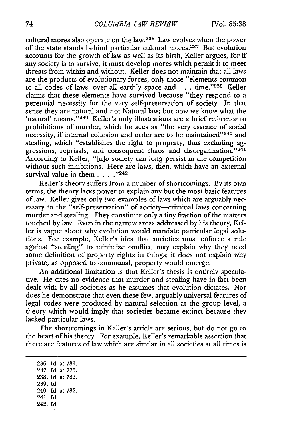cultural mores also operate on the law.<sup>236</sup> Law evolves when the power of the state stands behind particular cultural mores.<sup>237</sup> But evolution accounts for the growth of law as well as its birth, Keller argues, for if any society is to survive, it must develop mores which permit it to meet threats from within and without. Keller does not maintain that all laws are the products of evolutionary forces, only those "elements common to all codes of laws, over all earthly space and  $\ldots$  time." 238 Keller claims that these elements have survived because "they respond to a perennial necessity for the very self-preservation of society. In that sense they are natural and not Natural law; but now we know what the 'natural' means."<sup>239</sup> Keller's only illustrations are a brief reference to prohibitions of murder, which he sees as "the very essence of social necessity, if internal cohesion and order are to be maintained"<sup>240</sup> and stealing, which "establishes the right to property, thus excluding aggressions, reprisals, and consequent chaos and disorganization."241 According to Keller, "[n]o society can long persist in the competition without such inhibitions. Here are laws, then, which have an external survival-value in them **....** -242

Keller's theory suffers from a number of shortcomings. By its own terms, the theory lacks power to explain any but the most basic features of law. Keller gives only two examples of laws which are arguably necessary to the "self-preservation" of society-criminal laws concerning murder and stealing. They constitute only a tiny fraction of the matters touched by law. Even in the narrow areas addressed by his theory, Keller is vague about why evolution would mandate particular legal solutions. For example, Keller's idea that societies must enforce a rule against "stealing" to minimize conflict, may explain why they need some definition of property rights in things; it does not explain why private, as opposed to communal, property would emerge.

An additional limitation is that Keller's thesis is entirely speculative. He cites no evidence that murder and stealing have in fact been dealt with by all societies as he assumes that evolution dictates. Nor does he demonstrate that even these few, arguably universal features of legal codes were produced by natural selection at the group level, a theory which would imply that societies became extinct because they lacked particular laws.

The shortcomings in Keller's article are serious, but do not go to the heart of his theory. For example, Keller's remarkable assertion that there are features of law which are similar in all societies at all times is

236. Id. at 781. 237. Id. at 775. 238. Id. at 783. 239. Id. 240. Id. at 782. 241. Id. 242. Id.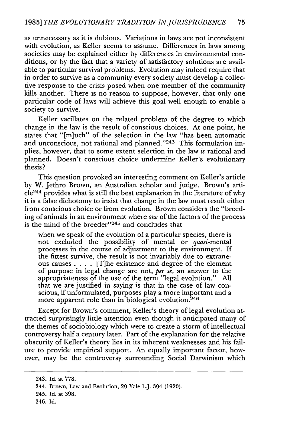as unnecessary as it is dubious. Variations in laws are not inconsistent with evolution, as Keller seems to assume. Differences in laws among societies may be explained either by differences in environmental conditions, or by the fact that a variety of satisfactory solutions are available to particular survival problems. Evolution may indeed require that in order to survive as a community every society must develop a collective response to the crisis posed when one member of the community kills another. There is no reason to suppose, however, that only one particular code of laws will achieve this goal well enough to enable a society to survive.

Keller vacillates on the related problem of the degree to which change in the law is the result of conscious choices. At one point, he states that "[m]uch" of the selection in the law "has been automatic and unconscious, not rational and planned."<sup>243</sup> This formulation implies, however, that to some extent selection in the law *is* rational and planned. Doesn't conscious choice undermine Keller's evolutionary thesis?

This question provoked an interesting comment on Keller's article by W. Jethro Brown, an Australian scholar and judge. Brown's article<sup>244</sup> provides what is still the best explanation in the literature of why it is a false dichotomy to insist that change in the law must result either from conscious choice or from evolution. Brown considers the "breeding of animals in an environment where *one* of the factors of the process is the mind of the breeder"<sup>245</sup> and concludes that

when we speak of the evolution of a particular species, there is not excluded the possibility of mental or quasi-mental processes in the course of adjustment to the environment. If the fittest survive, the result is not invariably due to extraneous causes . **. .** . [T]he existence and degree of the element of purpose in legal change are not, *per se,* an answer to the appropriateness of the use of the term "legal evolution." All that we are justified in saying is that in the case of law conscious, if unformulated, purposes play a more important and a more apparent role than in biological evolution.<sup>246</sup>

Except for Brown's comment, Keller's theory of legal evolution attracted surprisingly little attention even though it anticipated many of the themes of sociobiology which were to create a storm of intellectual controversy half a century later. Part of the explanation for the relative obscurity of Keller's theory lies in its inherent weaknesses and his failure to provide empirical support. An equally important factor, however, may be the controversy surrounding Social Darwinism which

<sup>243.</sup> Id. at **778.**

<sup>244.</sup> Brown, Law and Evolution, 29 Yale L.J. 394 (1920).

<sup>245.</sup> Id. at 398.

<sup>246.</sup> Id.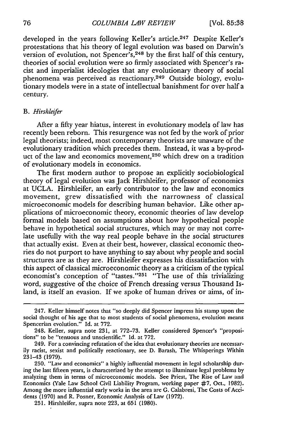developed in the years following Keller's article.<sup>247</sup> Despite Keller's protestations that his theory of legal evolution was based on Darwin's version of evolution, not Spencer's,  $248$  by the first half of this century, theories of social evolution were so firmly associated with Spencer's racist and imperialist ideologies that any evolutionary theory of social phenomena was perceived as reactionary. 249 Outside biology, evolutionary models were in a state of intellectual banishment for over half a century.

#### *B. Hirshleifer*

After a fifty year hiatus, interest in evolutionary models of law has recently been reborn. This resurgence was not fed by the work of prior legal theorists; indeed, most contemporary theorists are unaware of the evolutionary tradition which precedes them. Instead, it was a by-product of the law and economics movement, 250 which drew on a tradition of evolutionary models in economics.

The first modern author to propose an explicitly sociobiological theory of legal evolution was Jack Hirshleifer, professor of economics at UCLA. Hirshleifer, an early contributor to the law and economics movement, grew dissatisfied with the narrowness of classical microeconomic models for describing human behavior. Like other applications of microeconomic theory, economic theories of law develop formal models based on assumptions about how hypothetical people behave in hypothetical social structures, which may or may not correlate usefully with the way real people behave in the social structures that actually exist. Even at their best, however, classical economic theories do not purport to have anything to say about why people and social structures are as they are. Hirshleifer expresses his dissatisfaction with this aspect of classical microeconomic theory as a criticism of the typical economist's conception of "tastes."<sup>251</sup> "The use of this trivializing word, suggestive of the choice of French dressing versus Thousand Island, is itself an evasion. If we spoke of human drives or aims, of in-

<sup>247.</sup> Keller himself notes that "so deeply did Spencer impress his stamp upon the social thought of his age that to most students of social phenomena, evolution means Spencerian evolution." Id. at 772.

<sup>248.</sup> Keller, supra note 231, at 772-73. Keller considered Spencer's "propositions" to be "tenuous and unscientific." Id. at 772.

<sup>249.</sup> For a convincing refutation of the idea that evolutionary theories are necessarily racist, sexist and politically reactionary, see D. Barash, The Whisperings Within 231-43 (1979).

<sup>250. &</sup>quot;Law and economics" a highly influential movement in legal scholarship during the last fifteen years, is characterized by the attempt to illuminate legal problems by analyzing them in terms of microeconomic models. See Priest, The Rise of Law and Economics (Yale Law School Civil Liability Program, working paper #7, Oct., 1982). Among the more influential early works in the area are G. Calabresi, The Costs of Accidents (1970) and R. Posner, Economic Analysis of Law (1972).

<sup>251.</sup> Hirshleifer, supra note 223, at 651 (1980).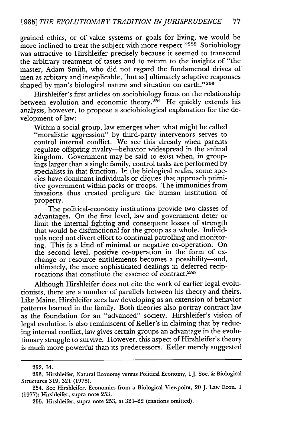grained ethics, or of value systems or goals for living, we would be more inclined to treat the subject with more respect." $252$  Sociobiology was attractive to Hirshleifer precisely because it seemed to transcend the arbitrary treatment of tastes and to return to the insights of "the master, Adam Smith, who did not regard the fundamental drives of men as arbitary and inexplicable, [but as] ultimately adaptive responses shaped by man's biological nature and situation on earth."253

Hirshleifer's first articles on sociobiology focus on the relationship between evolution and economic theory.<sup>254</sup> He quickly extends his analysis, however, to propose a sociobiological explanation for the development of law:

Within a social group, law emerges when what might be called "moralistic aggression" by third-party intervenors serves to control internal conflict. We see this already when parents regulate offspring rivalry-behavior widespread in the animal kingdom. Government may be said to exist when, in groupings larger than a single family, control tasks are performed by specialists in that function. In the biological realm, some species have dominant individuals or cliques that approach primitive government within packs or troops. The immunities from invasions thus created prefigure the human institution of property.

The political-economy institutions provide two classes of advantages. On the first level, law and government deter or limit the internal fighting and consequent losses of strength that would be disfunctional for the group as a whole. Individuals need not divert effort to continual patrolling and monitoring. This is a kind of minimal or negative co-operation. On the second level, positive co-operation in the form of exchange or resource entitlements becomes a possibility—and, ultimately, the more sophisticated dealings in deferred reciprocations that constitute the essence of contract.<sup>255</sup>

Although Hirshleifer does not cite the work of earlier legal evolutionists, there are a number of parallels between his theory and theirs. Like Maine, Hirshleifer sees law developing as an extension of behavior patterns learned in the family. Both theories also portray contract law as the foundation for an "advanced" society. Hirshleifer's vision of legal evolution is also reminiscent of Keller's in claiming that by reducing internal conflict, law gives certain groups an advantage in the evolutionary struggle to survive. However, this aspect of Hirshleifer's theory is much more powerful than its predecessors. Keller merely suggested

<sup>252.</sup> Id.

<sup>253.</sup> Hirshleifer, Natural Economy versus Political Economy, **I** J. Soc. & Biological Structures 319, 321 (1978).

<sup>254.</sup> See Hirshleifer, Economics from a Biological Viewpoint, 20 J. Law Econ. 1 (1977); Hirshleifer, supra note 253.

<sup>255.</sup> Hirshleifer, supra note 253, at 321-22 (citations omitted).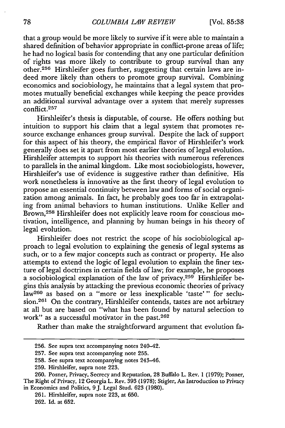that a group would be more likely to survive if it were able to maintain a shared definition of behavior appropriate in conflict-prone areas of life; he had no logical basis for contending that any one particular definition of rights was more likely to contribute to group survival than any other.<sup>256</sup> Hirshleifer goes further, suggesting that certain laws are indeed more likely than others to promote group survival. Combining economics and sociobiology, he maintains that a legal system that promotes mutually beneficial exchanges while keeping the peace provides an additional survival advantage over a system that merely supresses conflict.<sup>257</sup>

Hirshleifer's thesis is disputable, of course. He offers nothing but intuition to support his claim that a legal system that promotes resource exchange enhances group survival. Despite the lack of support for this aspect of his theory, the empirical flavor of Hirshleifer's work generally does set it apart from most earlier theories of legal evolution. Hirshleifer attempts to support his theories with numerous references to parallels in the animal kingdom. Like most sociobiologists, however, Hirshleifer's use of evidence is suggestive rather than definitive. His work nonetheless is innovative as the first theory of legal evolution to propose an essential continuity between law and forms of social organization among animals. In fact, he probably goes too far in extrapolating from animal behaviors to human institutions. Unlike Keller and Brown,258 Hirshleifer does not explicitly leave room for conscious motivation, intelligence, and planning by human beings in his theory of legal evolution.

Hirshleifer does not restrict the scope of his sociobiological approach to legal evolution to explaining the genesis of legal systems as such, or to a few major concepts such as contract or property. He also attempts to extend the logic of legal evolution to explain the finer texture of legal doctrines in certain fields of law; for example, he proposes a sociobiological explanation of the law of privacy.<sup>259</sup> Hirshleifer begins this analysis by attacking the previous economic theories of privacy law<sup>260</sup> as based on a "more or less inexplicable 'taste' " for seclusion.<sup>261</sup> On the contrary, Hirshleifer contends, tastes are not arbitrary at all but are based on "what has been found by natural selection to work" as a successful motivator in the past.<sup>262</sup>

Rather than make the straightforward argument that evolution fa-

<sup>256.</sup> See supra text accompanying notes 240-42.

<sup>257.</sup> See supra text accompanying note 255.

<sup>258.</sup> See supra text accompanying notes 243-46.

<sup>259.</sup> Hirshleifer, supra note 223.

<sup>260.</sup> Posner, Privacy, Secrecy and Reputation, 28 Buffalo L. Rev. 1 (1979); Posner, The Right of Privacy, 12 Georgia L. Rev. 393 (1978); Stigler, An Introduction to Privacy in Economics and Politics, 9J. Legal Stud. 623 (1980).

<sup>261.</sup> Hirshleifer, supra note 223, at 650.

<sup>262.</sup> Id. at 652.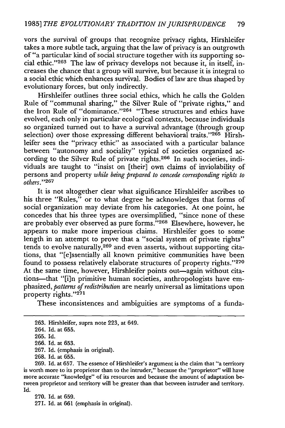vors the survival of groups that recognize privacy rights, Hirshleifer takes a more subtle tack, arguing that the law of privacy is an outgrowth of "a particular kind of social structure together with its supporting social ethic."263 The law of privacy develops not because it, in itself, increases the chance that a group will survive, but because it is integral to a social ethic which enhances survival. Bodies of law are thus shaped by evolutionary forces, but only indirectly.

Hirshleifer outlines three social ethics, which he calls the Golden Rule of "communal sharing," the Silver Rule of "private rights," and the Iron Rule of "dominance."<sup>264</sup> "These structures and ethics have evolved, each only in particular ecological contexts, because individuals so organized turned out to have a survival advantage (through group selection) over those expressing different behavioral traits."265 Hirshleifer sees the "privacy ethic" as associated with a particular balance between "autonomy and sociality" typical of societies organized according to the Silver Rule of private rights. 266 In such societies, individuals are taught to "insist on [their] own claims of inviolability of persons and property *while being prepared to concede corresponding rights to others." <sup>26</sup> <sup>7</sup>*

It is not altogether clear what siguificance Hirshleifer ascribes to his three "Rules," or to what degree he acknowledges that forms of social organization may deviate from his categories. At one point, he concedes that his three types are oversimplified, "since none of these are probably ever observed as pure forms." 268 Elsewhere, however, he appears to make more imperious claims. Hirshleifer goes to some length in an attempt to prove that a "social system of private rights" tends to evolve naturally, 269 and even asserts, without supporting citations, that "[e]ssentially all known primitive communities have been found to possess relatively elaborate structures of property rights."270 At the same time, however, Hirshleifer points out-again without citations-that "[i]n primitive human societies, anthropologists have emphasized, *patterns of redistribution* are nearly universal as limitations upon property rights."271

These inconsistences and ambiguities are symptoms of a funda-

268. Id. at 655.

269. Id. at 657. The essence of Hirshleifer's argument is the claim that "a territory is worth more to its proprietor than to the intruder," because the "proprietor" will have more accurate "knowledge" of its resources and because the amount of adaptation between proprietor and territory will be greater than that between intruder and territory. Id.

270. Id. at 659.

271. Id. at 661 (emphasis in original).

<sup>263.</sup> Hirshleifer, supra note 223, at 649.

<sup>264.</sup> Id. at 655.

<sup>265.</sup> Id.

<sup>266.</sup> Id. at 653.

<sup>267.</sup> Id. (emphasis in original).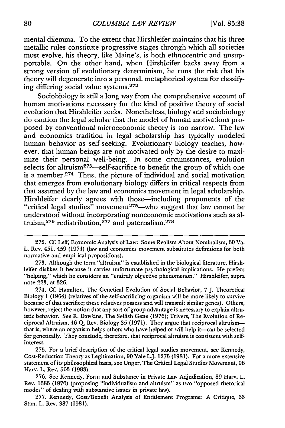mental dilemma. To the extent that Hirshleifer maintains that his three metallic rules constitute progressive stages through which all societies must evolve, his theory, like Maine's, is both ethnocentric and unsupportable. On the other hand, when Hirshleifer backs away from a strong version of evolutionary determinism, he runs the risk that his theory will degenerate into a personal, metaphorical system for classifying differing social value systems. <sup>272</sup>

Sociobiology is still a long way from the comprehensive account of human motivations necessary for the kind of positive theory of social evolution that Hirshleifer seeks. Nonetheless, biology and sociobiology do caution the legal scholar that the model of human motivations proposed by conventional microeconomic theory is too narrow. The law and economics tradition in legal scholarship has typically modeled human behavior as self-seeking. Evolutionary biology teaches, however, that human beings are not motivated only by the desire to maximize their personal well-being. In some circumstances, evolution selects for altruism<sup>273</sup>—self-sacrifice to benefit the group of which one is a member.274 Thus, the picture of individual and social motivation that emerges from evolutionary biology differs in critical respects from that assumed by the law and economics movement in legal scholarship. Hirshleifer clearly agrees with those-including proponents of the "critical legal studies" movement<sup>275</sup>—who suggest that law cannot be understood without incorporating noneconomic motivations such as altruism,  $276$  redistribution,  $277$  and paternalism.  $278$ 

<sup>272.</sup> Cf. Leff, Economic Analysis of Law: Some Realism About Nominalism, 60 Va. L. Rev. 451, 459 (1974) (law and economics movement substitutes definitions for both normative and empirical propositions).

<sup>273.</sup> Although the term "altruism" is established in the biological literature, Hirsh. leifer dislikes it because it carries unfortunate psychological implications. He prefers "helping," which he considers an "entirely objective phenomenon." Hirshleifer, supra note 223, at 326.

<sup>274.</sup> Cf. Hamilton, The Genetical Evolution of Social Behavior, 7 J. Theoretical Biology 1 (1964) (relatives of the self-sacrificing organism will be more likely to survive because of that sacrifice; these relatives possess and will transmit similar genes). Others, however, reject the notion that any sort of group advantage is necessary to explain altruistic behavior. See R. Dawkins, The Selfish Gene (1976); Trivers, The Evolution of Reciprocal Altruism, 46 **Q.** Rev. Biology 35 (1971). They argue that reciprocal altruismthat is, where an organism helps others who have helped or will help it-can be selected for genetically. They conclude, therefore, that reciprocal altruism is consistent with selfinterest.

<sup>275.</sup> For a brief description of the critical legal studies movement, see Kennedy, Cost-Reduction Theory as Legitimation, 90 Yale L.J. 1275 (1981). For a more extensive statement of its philosophical basis, see Unger, The Critical Legal Studies Movement, 96 Harv. L. Rev. 563 (1983).

<sup>276.</sup> See Kennedy, Form and Substance in Private Law Adjudication, 89 Harv. L. Rev. 1685 (1976) (proposing "individualism and altruism" as two "opposed rhetorical modes" of dealing with substantive issues in private law).

<sup>277.</sup> Kennedy, Cost/Benefit Analysis of Entitlement Programs: A Critique, 33 Stan. L. Rev. 387 (1981).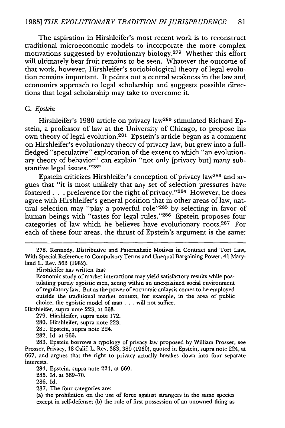The aspiration in Hirshleifer's most recent work is to reconstruct traditional microeconomic models to incorporate the more complex motivations suggested by evolutionary biology.<sup>279</sup> Whether this effort will ultimately bear fruit remains to be seen. Whatever the outcome of that work, however, Hirshleifer's sociobiological theory of legal evolution remains important. It points out a central weakness in the law and economics approach to legal scholarship and suggests possible directions that legal scholarship may take to overcome it.

### *C. Epstein*

Hirshleifer's 1980 article on privacy law<sup>280</sup> stimulated Richard Epstein, a professor of law at the University of Chicago, to propose his own theory of legal evolution.<sup>281</sup> Epstein's article began as a comment on Hirshleifer's evolutionary theory of privacy law, but grew into a fullfledged "speculative" exploration of the extent to which "an evolutionary theory of behavior" can explain "not only [privacy but] many substantive legal issues."282

Epstein criticizes Hirshleifer's conception of privacy law<sup>283</sup> and argues that "it is most unlikely that any set of selection pressures have fostered . . . preference for the right of privacy."<sup>284</sup> However, he does agree with Hirshleifer's general position that in other areas of law, natural selection may "play a powerful role" 285 by selecting in favor of human beings with "tastes for legal rules."<sup>286</sup> Epstein proposes four categories of law which he believes have evolutionary roots. 287 For each of these four areas, the thrust of Epstein's argument is the same:

Hirshleifer, supra note 223, at 663.

279. Hirshleifer, supra note 172.

280. Hirshleifer, supra note 223.

- 281. Epstein, supra note 224.
- 282. Id. at 666.

283. Epstein borrows a typology of privacy law proposed by William Prosser, see Prosser, Privacy, 48 Calif. L. Rev. 383, 389 (1960), quoted in Epstein, supra note 224, at 667, and argues that the right to privacy actually breakes down into four separate interests.

284. Epstein, supra note 224, at 669.

285. Id. at 669-70.

286. Id.

287. The four categories are:

(a) the prohibition on the use of force against strangers in the same species except in self-defense; (b) the rule of first possession of an unowned thing as

<sup>278.</sup> Kennedy, Distributive and Paternalistic Motives in Contract and Tort Law, With Special Reference to Compulsory Terms and Unequal Bargaining Power, 41 Maryland L. Rev. 563 (1982).

Hirshleifer has written that:

Economic study of market interactions may yield satisfactory results while postulating purely egoistic men, acting within an unexplained social environment of regulatory law. But as the power of eocnomic anlaysis comes to be employed outside the traditional market context, for example, in the area of public choice, the egoistic model of man. **. .** will not suffice.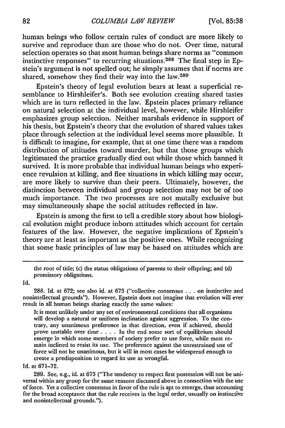human beings who follow certain rules of conduct are more likely to survive and reproduce than are those who do not. Over time, natural selection operates so that most human beings share norms as "common instinctive responses" to recurring situations. 288 The final step in Epstein's argument is not spelled out; he simply assumes that if norms are shared, somehow they find their way into the law.<sup>289</sup>

Epstein's theory of legal evolution bears at least a superficial resemblance to Hirshleifer's. Both see evolution creating shared tastes which are in turn reflected in the law. Epstein places primary reliance on natural selection at the individual level, however, while Hirshleifer emphasizes group selection. Neither marshals evidence in support of his thesis, but Epstein's theory that the evolution of shared values takes place through selection at the individual level seems more plausible. It is difficult to imagine, for example, that at one time there was a random distribution of attitudes toward murder, but that those groups which legitimated the practice gradually died out while those which banned it survived. It is more probable that individual human beings who experience revulsion at killing, and flee situations in which killing may occur, are more likely to survive than their peers. Ultimately, however, the distinction between individual and group selection may not be of too much importance. The two processes are not mutally exclusive but may simultaneously shape the social attitudes reflected in law.

Epstein is among the first to tell a credible story about how biological evolution might produce inborn attitudes which account for certain features of the law. However, the negative implications of Epstein's theory are at least as important as the positive ones. While recognizing that some basic principles of law may be based on attitudes which are

the root of title; (c) the status obligations of parents to their offspring; and (d) promissory obligations.

Id.

288. Id. at 672; see also id. at 673 ("collective consensus . . . on instinctive and nonintellectual grounds"). However, Epstein does not imagine that evolution will ever result in all human beings sharing exactly the same values:

It is most unlikely under any set of environmental conditions that all organisms will develop a natural or uniform inclination against aggression. To the contrary, any unanimous preference in that direction, even if achieved, should prove unstable over time .... In the end some sort of equilibrium should emerge in which some members of society prefer to use force, while most remain inclined to resist its use. The preference against the unrestrained use of force will not be unanimous, but it will in most cases be widespread enough to create a predisposition to regard its use as wrongful.

Id. at 671-72.

289. See, e.g., id. at 673 ("The tendency to respect first possession will not be universal within any group for the same reasons discussed above in connection with the use of force. Yet a collective consensus in favor of the rule is apt to emerge, thus accounting for the broad acceptance that the rule receives in the legal order, ususally on instinctive and nonintellectual grounds.").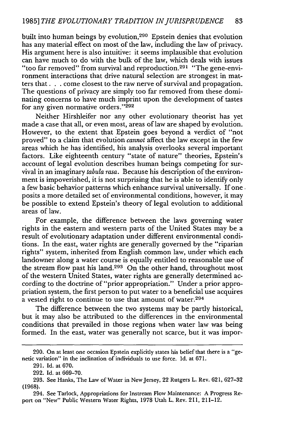built into human beings by evolution,<sup>290</sup> Epstein denies that evolution has any material effect on most of the law, including the law of privacy. His argument here is also intuitive: it seems implausible that evolution can have much to do with the bulk of the law, which deals with issues "too far removed" from survival and reproduction.<sup>291</sup> "The gene-environment interactions that drive natural selection are strongest in matters that. **. .** come closest to the raw nerve of survival and propagation. The questions of privacy are simply too far removed from these dominating concerns to have much imprint upon the development of tastes for any given normative orders." $292$ 

Neither Hirshleifer nor any other evolutionary theorist has yet made a case that all, or even most, areas of law are shaped by evolution. However, to the extent that Epstein goes beyond a verdict of "not proved" to a claim that evolution *cannot* affect the law except in the few areas which he has identified, his analysis overlooks several important factors. Like eighteenth century "state of nature" theories, Epstein's account of legal evolution describes human beings competing for survival in an imaginary *tabula rasa.* Because his description of the environment is impoverished, it is not surprising that he is able to identify only a few basic behavior patterns which enhance survival universally. If one. posits a more detailed set of environmental conditions, however, it may be possible to extend Epstein's theory of legal evolution to additional areas of law.

For example, the difference between the laws governing water rights in the eastern and western parts of the United States may be a result of evolutionary adaptation under different environmental conditions. In the east, water rights are generally governed by the "riparian rights" system, inherited from English common law, under which each landowner along a water course is equally entitled to reasonable use of the stream flow past his land.<sup>293</sup> On the other hand, throughout most of the western United States, water rights are generally determined according to the doctrine of "prior appropriation." Under a prior appropriation system, the first person to put water to a beneficial use acquires a vested right to continue to use that amount of water.<sup>294</sup>

The difference between the two systems may be partly historical, but it may also be attributed to the differences in the environmental conditions that prevailed in those regions when water law was being formed. In the east, water was generally not scarce, but it was impor-

<sup>290.</sup> On at least one occasion Epstein explicitly states his belief that there is a "genetic variation" in the inclination of individuals to use force. Id. at 671.

<sup>291.</sup> Id. at 670.

<sup>292.</sup> Id. at 669-70.

<sup>293.</sup> See Hanks, The Law of Water in NewJersey, 22 Rutgers L. Rev. 621, 627-32 (1968).

<sup>294.</sup> See Tarlock, Appropriations for Instream Flow Maintenance: A Progress Report on "New" Public Western Water Rights, 1978 Utah L. Rev. 211, 211-12.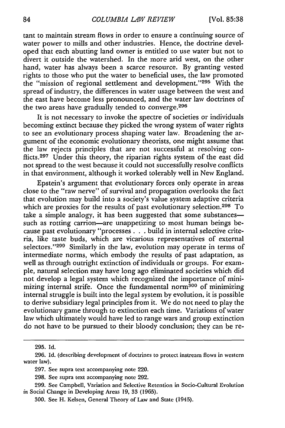tant to maintain stream flows in order to ensure a continuing source of water power to mills and other industries. Hence, the doctrine developed that each abutting land owner is entitled to use water but not to divert it outside the watershed. In the more arid west, on the other hand, water has always been a scarce resource. By granting vested rights to those who put the water to beneficial uses, the law promoted the "mission of regional settlement and development."<sup>295</sup> With the spread of industry, the differences in water usage between the west and the east have become less pronounced, and the water law doctrines of the two areas have gradually tended to converge.<sup>296</sup>

It is not necessary to invoke the spectre of societies or individuals becoming extinct because they picked the wrong system of water rights to see an evolutionary process shaping water law. Broadening the argument of the economic evolutionary theorists, one might assume that the law rejects principles that are not successful at resolving conflicts.<sup>297</sup> Under this theory, the riparian rights system of the east did not spread to the west because it could not successfully resolve conflicts in that environment, although it worked tolerably well in New England.

Epstein's argument that evolutionary forces only operate in areas close to the "raw nerve" of survival and propagation overlooks the fact that evolution may build into a society's value system adaptive criteria which are proxies for the results of past evolutionary selection.<sup>298</sup> To take a simple analogy, it has been suggested that some substancessuch as rotting carrion-are unappetizing to most human beings because past evolutionary "processes **. .** . build in internal selective criteria, like taste buds, which are vicarious representatives of external selectors."299 Similarly in the law, evolution may operate in terms of intermediate norms, which embody the results of past adaptation, as well as through outright extinction of individuals or groups. For example, natural selection may have long ago eliminated societies which did not develop a legal system which recognized the importance of minimizing internal strife. Once the fundamental norm<sup>300</sup> of minimizing internal struggle is built into the legal system by evolution, it is possible to derive subsidiary legal principles from it. We do not need to play the evolutionary game through to extinction each time. Variations of water law which ultimately would have led to range wars and group extinction do not have to be pursued to their bloody conclusion; they can be re-

<sup>295.</sup> Id.

<sup>296.</sup> Id. (describing development of doctrines to protect instream flows in western water law).

<sup>297.</sup> See supra text accompanying note 220.

<sup>298.</sup> See supra text accompanying note 292.

<sup>299.</sup> See Campbell, Variation and Selective Retention in Socio-Cultural Evolution *in* Social Change in Developing Areas 19, 33 (1965).

<sup>300.</sup> See H. Kelsen, General Theory of Law and State (1945).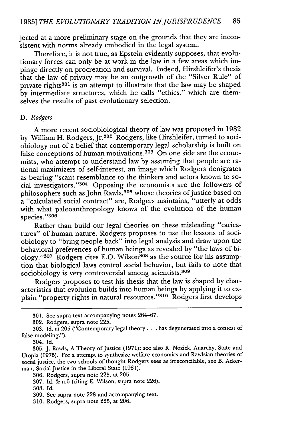jected at a more preliminary stage on the grounds that they are inconsistent with norms already embodied in the legal system.

Therefore, it is not true, as Epstein evidently supposes, that evolutionary forces can only be at work in the law in a few areas which impinge directly on procreation and survival. Indeed, Hirshleifer's thesis that the law of privacy may be an outgrowth of the "Silver Rule" of private rights<sup>301</sup> is an attempt to illustrate that the law may be shaped by intermediate structures, which he calls "ethics," which are themselves the results of past evolutionary selection.

#### *D. Rodgers*

A more recent sociobiological theory of law was proposed in 1982 by William H. Rodgers, Jr.<sup>302</sup> Rodgers, like Hirshleifer, turned to sociobiology out of a belief that contemporary legal scholarship is built on false conceptions of human motivations.<sup>303</sup> On one side are the economists, who attempt to understand law by assuming that people are rational maximizers of self-interest, an image which Rodgers denigrates as bearing "scant resemblance to the thinkers and actors known to social investigators."304 Opposing the economists are the followers of philosophers such as John Rawls,<sup>305</sup> whose theories of justice based on a "calculated social contract" are, Rodgers maintains, "utterly at odds with what paleoanthropology knows of the evolution of the human species."<sup>306</sup>

Rather than build our legal theories on these misleading "caricatures" of human nature, Rodgers proposes to use the lessons of sociobiology to "bring people back" into legal analysis and draw upon the behavioral preferences of human beings as revealed by "the laws of biology."  $307$  Rodgers cites E.O. Wilson<sup>308</sup> as the source for his assumption that biological laws control social behavior, but fails to note that sociobiology is very controversial among scientists.<sup>309</sup>

Rodgers proposes to test his thesis that the law is shaped by characteristics that evolution builds into human beings by applying it to explain "property rights in natural resources."<sup>310</sup> Rodgers first develops

<sup>301.</sup> See supra text accompanying notes 264-67.

<sup>302.</sup> Rodgers, supra note 225.

<sup>303.</sup> Id. at 205 ("Contemporary legal theory **...** has degenerated into a contest of false modeling.").

<sup>304.</sup> Id.

<sup>305.</sup> J. Rawls, A Theory of Justice (1971); see also R. Nozick, Anarchy, State and Utopia (1975). For a attempt to synthesize welfare economics and Rawlsian theories of social justice, the two schools of thought Rodgers sees as irreconcilable, see B. Ackerman, Social Justice in the Liberal State (1981).

<sup>306.</sup> Rodgers, supra note 225, at 205.

<sup>307.</sup> Id. & n.6 (citing E. Wilson, supra note 226).

<sup>308.</sup> Id.

<sup>309.</sup> See supra note 228 and accompanying text.

<sup>310.</sup> Rodgers, supra note 225, at 206.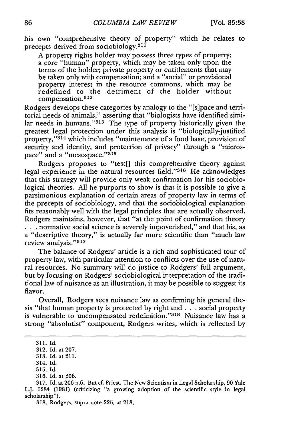his own "comprehensive theory of property" which he relates to precepts derived from sociobiology.<sup>311</sup>

A property rights holder may possess three types of property: a core "human" property, which may be taken only upon the terms of the holder; private property or entitlements that may be taken only with compensation; and a "social" or provisional property interest in the resource commons, which may be redefined to the detriment of the holder without compensation.<sup>312</sup>

Rodgers develops these categories by analogy to the "[s]pace and territorial needs of animals," asserting that "biologists have identified similar needs in humans."<sup>313</sup> The type of property historically given the greatest legal protection under this analysis is "biologically-justified property,"<sup>314</sup> which includes "maintenance of a food base, provision of security and identity, and protection of privacy" through a "microspace" and a "mesospace."<sup>315</sup>

Rodgers proposes to "test[] this comprehensive theory against legal experience in the natural resources field."<sup>316</sup> He acknowledges that this strategy will provide only weak confirmation for his sociobiological theories. All he purports to show is that it is possible to give a parsimonious explanation of certain areas of property law in terms of the precepts of sociobiology, and that the sociobiological explanation fits reasonably well with the legal principles that are actually observed. Rodgers maintains, however, that "at the point of confirmation theory **• . .** normative social science is severely impoverished," and that his, as a "descriptive theory," is actually far more scientific than "much law review analysis."<sup>317</sup>

The balance of Rodgers' article is a rich and sophisticated tour of property law, with particular attention to conflicts over the use of natural resources. No summary will do justice to Rodgers' full argument, but by focusing on Rodgers' sociobiological interpretation of the traditional law of nuisance as an illustration, it may be possible to suggest its flavor.

Overall, Rodgers sees nuisance law as confirming his general thesis "that human property is protected by right and. **. .** social property is vulnerable to uncompensated redefinition."<sup>318</sup> Nuisance law has a strong "absolutist" component, Rodgers writes, which is reflected by

318. Rodgers, supra note 225, at 218.

<sup>311.</sup> Id.

<sup>312.</sup> Id. at 207.

<sup>313.</sup> Id. at 211.

<sup>314.</sup> Id.

<sup>315.</sup> Id.

<sup>316.</sup> Id. at 206.

<sup>317.</sup> Id. at 206 n.6. But cf. Priest, The New Scientism in Legal Scholarship, 90 Yale L.J. 1284 (1981) (criticizing "a growing adoption of the scientific style in legal scholarship").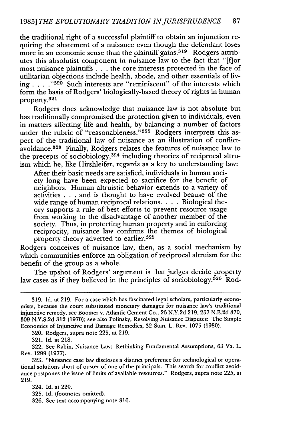the traditional right of a successful plaintiff to obtain an injunction requiring the abatement of a nuisance even though the defendant loses more in an economic sense than the plaintiff gains. $319$  Rodgers attributes this absolutist component in nuisance law to the fact that "[flor most nuisance plaintiffs **. .** the core interests protected in the face of utilitarian objections include health, abode, and other essentials of living . **.. "320** Such interests are "reminiscent" of the interests which form the basis of Rodgers' biologically-based theory of rights in human property.<sup>321</sup>

Rodgers does acknowledge that nuisance law is not absolute but has traditionally compromised the protection given to individuals, even in matters affecting life and health, by balancing a number of factors under the rubric of "reasonableness."<sup>322</sup> Rodgers interprets this aspect of the traditional law of nuisance as an illustration of conflictavoidance. 323 Finally, Rodgers relates the features of nuisance law to the precepts of sociobiology,<sup>324</sup> including theories of reciprocal altruism which he, like Hirshleifer, regards as a key to understanding law:

After their basic needs are satisfied, individuals in human society long have been expected to sacrifice for the benefit of neighbors. Human altruistic behavior extends to a variety of activities . . . and is thought to have evolved beause of the wide range of human reciprocal relations. . **.** . Biological theory supports a rule of best efforts to prevent resource usage from working to the disadvantage of another member of the society. Thus, in protecting human property and in enforcing reciprocity, nuisance law confirms the themes of biological property theory adverted to earlier.<sup>325</sup>

Rodgers conceives of nuisance law, then, as a social mechanism by which communities enforce an obligation of reciprocal altruism for the benefit of the group as a whole.

The upshot of Rodgers' argument is that judges decide property law cases as if they believed in the principles of sociobiology. $326$  Rod-

320. Rodgers, supra note 225, at 219.

321. Id. at 218.

322. See Rabin, Nuisance Law: Rethinking Fundamental Assumptions, 63 Va. L. Rev. 1299 (1977).

<sup>319.</sup> Id. at 219. For a case which has fascinated legal scholars, particularly economists, because the court substituted monetary damages for nuisance law's traditional injunctive remedy, see Boomer v. Atlantic Cement Co., 26 N.Y.2d 219, 257 N.E.2d 870, 309 N.Y.S.2d 312 (1970); see also Polinsky, Resolving Nuisance Disputes: The Simple Economics of Injunctive and Damage Remedies, 32 Stan. L. Rev. 1075 (1980).

<sup>323. &</sup>quot;Nuisance case law discloses a distinct preference for technological or operational solutions short of ouster of one of the principals. This search for conflict avoidance postpones the issue of limits of available resources." Rodgers, supra note 225, at 219.

<sup>324.</sup> Id. at 220.

<sup>325.</sup> Id. (footnotes omitted).

<sup>326.</sup> See text accompanying note 316.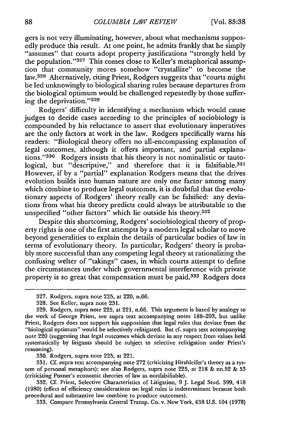gers is not very illuminating, however, about what mechanisms supposedly produce this result. At one point, he admits frankly that he simply "assumes" that courts adopt property justifications "strongly held by the population."<sup>327</sup> This comes close to Keller's metaphorical assumption that community mores somehow "crystallize" to become the law.<sup>328</sup> Alternatively, citing Priest, Rodgers suggests that "courts might be led unknowingly to biological sharing rules because departures from the biological optimum would be challenged repeatedly by those suffering the deprivation."<sup>329</sup>

Rodgers' difficulty in identifying a mechanism which would cause judges to decide cases according to the principles of sociobiology is compounded by his reluctance to assert that evolutionary imperatives are the only factors at work in the law. Rodgers specifically warns his readers: "Biological theory offers no all-encompassing explanation of legal outcomes, although it offers important, and partial explanations."<sup>330</sup> Rodgers insists that his theory is not nominalistic or tautological, but "descriptive," and therefore that it is falsifiable.<sup>35</sup> However, if by a "partial" explanation Rodgers means that the drives evolution builds into human nature are only one factor among many which combine to produce legal outcomes, it is doubtful that the evolutionary aspects of Rodgers' theory really can be falsified: any deviations from what his theory predicts could always be attributable to the unspecified "other factors" which lie outside his theory.<sup>332</sup>

Despite this shortcoming, Rodgers' sociobiological theory of property rights is one of the first attempts by a modern legal scholar to move beyond generalities to explain the details of particular bodies of law in terms of evolutionary theory. In particular, Rodgers' theory is probably more successful than any competing legal theory at rationalizing the confusing welter of "takings" cases, in which courts attempt to define the circumstances under which governmental interference with private property is so great that compensation must be paid.<sup>333</sup> Rodgers does

330. Rodgers, supra note 225, at 221.

331. Cf. supra text accompanying note 272 (criticizing Hirshleifer's theory as a system of personal metaphors); see also Rodgers, supra note 225, at 218 & nn.52 & 53 (criticizing Posner's economic theories of law as nonfalsifiable).

332. Cf. Priest, Selective Characteristics of Litigation, 9 J. Legal Stud. 399, 418 (1980) (effect of efficiency considerations on legal rules is indeterminant because both procedural and substantive law combine to produce outcomes).

333. Compare Pennsylvania Central Transp. Co. v. New York, 438 U.S. 104 (1978)

<sup>327.</sup> Rodgers, supra note 225, at 220, n.66.

<sup>328.</sup> See Keller, supra note 231.

<sup>329.</sup> Rodgers, supra note 225, at 221, n.66. This argument is based by analogy to the work of George Priest, see supra text accompanying notes 188-203, but unlike Priest, Rodgers does not support his supposition that legal rules that deviate from the "biological optimum" would be selectively relitigated. But cf. supra text accompanying note 220 (suggesting that legal outcomes which deviate in any respect from values held systematically by litigants should be subject to selective relitigation under Priest's reasoning).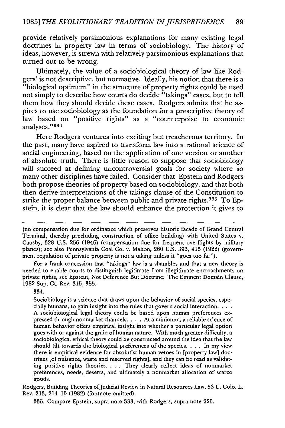provide relatively parsimonious explanations for many existing legal doctrines in property law in terms of sociobiology. The history of ideas, however, is strewn with relatively parsimonious explanations that turned out to be wrong.

Ultimately, the value of a sociobiological theory of law like Rodgers' is not descriptive, but normative. Ideally, his notion that there is a "biological optimum" in the structure of property rights could be used not simply to describe how courts do decide "takings" cases, but to tell them how they should decide these cases. Rodgers admits that he aspires to use sociobiology as the foundation for a prescriptive theory of law based on "positive rights" as a "counterpoise to economic analyses."<sup>334</sup>

Here Rodgers ventures into exciting but treacherous territory. In the past, many have aspired to transform law into a rational science of social engineering, based on the application of one version or another of absolute truth. There is little reason to suppose that sociobiology will succeed at defining uncontroversial goals for society where so many other disciplines have failed. Consider that Epstein and Rodgers both propose theories of property based on sociobiology, and that both then derive interpretations of the takings clause of the Constitution to strike the proper balance between public and private rights.<sup>335</sup> To Epstein, it is clear that the law should enhance the protection it gives to

For a frank concession that "takings" law is a shambles and that a new theory is needed to enable courts to distinguish legitimate from illegitimate encroachments on private rights, see Epstein, Not Deference But Doctrine: The Eminent Domain Clause, 1982 Sup. Ct. Rev. 315, 355.

334.

Sociobiology is a science that draws upon the behavior of social species, especially humans, to gain insight into the rules that govern social interaction. **...** A sociobiological legal theory could be based upon human preferences expressed through nonmarket channels **....** At a minimum, a reliable science of human behavior offers empirical insight into whether a particular legal option goes with or against the grain of human nature. With much greater difficulty, a sociobiological ethical theory could be constructed around the idea that the law should tilt towards the biological preferences of the species. . **.** . In my view there is empirical evidence for absolutist human vetoes in [property law] doctrines [of nuisance, waste and reserved rights], and they can be read as validating positive rights theories. . . . They clearly reflect ideas of nonmarket preferences, needs, deserts, and ultimately a nonmarket allocation of scarce goods.

Rodgers, Building Theories ofJudicial Review in Natural Resources Law, 53 U. Colo. L. Rev. 213, 214-15 (1982) (footnote omitted).

335. Compare Epstein, supra note 333, with Rodgers, supra note 225.

<sup>(</sup>no compensation due for ordinance which preserves historic facade of Grand Central Terminal, thereby precluding construction of office building) with United States v. Causby, 328 U.S. 256 (1946) (compensation due for frequent overflights by military planes); see also Pennsylvania Coal Co. v. Mahon, 260 U.S. 393, 415 (1922) (government regulation of private property is not a taking unless it "goes too far").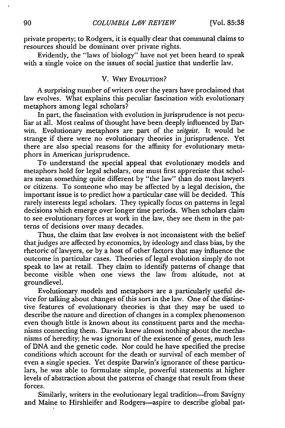private property; to Rodgers, it is equally clear that communal claims to resources should be dominant over private rights.

Evidently, the "laws of biology" have not yet been heard to speak with a single voice on the issues of social justice that underlie law.

## V. WHY EVOLUTION?

A surprising number of writers over the years have proclaimed that law evolves. What explains this peculiar fascination with evolutionary metaphors among legal scholars?

In part, the fascination with evolution in jurisprudence is not peculiar at all. Most realms of thought have been deeply influenced by Darwin. Evolutionary metaphors are part of the zeitgeist. It would be strange if there were no evolutionary theories in jurisprudence. Yet there are also special reasons for the affinity for evolutionary metaphors in American jurisprudence.

To understand the special appeal that evolutionary models and metaphors hold for legal scholars, one must first appreciate that scholars mean something quite different by "the law" than do most lawyers or citizens. To someone who may be affected by a legal decision, the important issue is to predict how a particular case will be decided. This rarely interests legal scholars. They typically focus on patterns in legal decisions which emerge over longer time periods. When scholars claim to see evolutionary forces at work in the law, they see them in the patterns of decisions over many decades.

Thus, the claim that law evolves is not inconsistent with the belief that judges are affected by economics, by ideology and class bias, by the rhetoric of lawyers, or by a host of other factors that may influence the outcome in particular cases. Theories of legal evolution simply do not speak to law at retail. They claim to identify patterns of change that become visible when one views the law from altitude, not at groundlevel.

Evolutionary models and metaphors are a particularly useful device for talking about changes of this sort in the law. One of the distinctive features of evolutionary theories is that they may be used to describe the nature and direction of changes in a complex phenomenon even though little is known about its constituent parts and the mechanisms connecting them. Darwin knew almost nothing about the mechanisms of heredity; he was ignorant of the existence of genes, much less of DNA and the genetic code. Nor could he have specified the precise conditions which account for the death or survival of each member of even a single species. Yet despite Darwin's ignorance of these particulars, he was able to formulate simple, powerful statements at higher levels of abstraction about the patterns of change that result from these forces.

Similarly, writers in the evolutionary legal tradition-from Savigny and Maine to Hirshleifer and Rodgers--aspire to describe global pat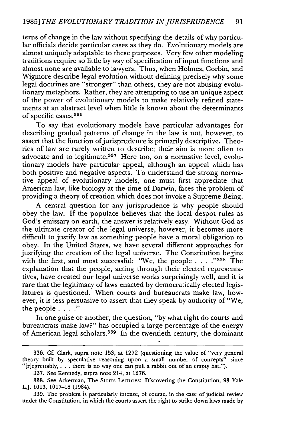terns of change in the law without specifying the details of why particular officials decide particular cases as they do. Evolutionary models are almost uniquely adaptable to these purposes. Very few other modeling traditions require so little by way of specification of input functions and almost none are available to lawyers. Thus, when Holmes, Corbin, and Wigmore describe legal evolution without defining precisely why some legal doctrines are "stronger" than others, they are not abusing evolutionary metaphors. Rather, they are attempting to use an unique aspect of the power of evolutionary models to make relatively refined statements at an abstract level when little is known about the determinants of specific cases. <sup>336</sup>

To say that evolutionary models have particular advantages for describing gradual patterns of change in the law is not, however, to assert that the function of jurisprudence is primarily descriptive. Theories of law are rarely written to describe; their aim is more often to advocate and to legitimate.<sup>337</sup> Here too, on a normative level, evolutionary models have particular appeal, although an appeal which has both positive and negative aspects. To understand the strong normative appeal of evolutionary models, one must first appreciate that American law, like biology at the time of Darwin, faces the problem of providing a theory of creation which does not invoke a Supreme Being.

A central question for any jurisprudence is why people should obey the law. If the populace believes that the local despot rules as God's emissary on earth, the answer is relatively easy. Without God as the ultimate creator of the legal universe, however, it becomes more difficult to justify law as something people have a moral obligation to obey. In the United States, we have several different approaches for justifying the creation of the legal universe. The Constitution begins with the first, and most successful: "We, the people . . . ."<sup>338</sup> The explanation that the people, acting through their elected representatives, have created our legal universe works surprisingly well, and it is rare that the legitimacy of laws enacted by democratically elected legislatures is questioned. When courts and bureaucrats make law, however, it is less persuasive to assert that they speak by authority of "We, the people **...."**

In one guise or another, the question, "by what right do courts and bureaucrats make law?" has occupied a large percentage of the energy of American legal scholars.339 In the twentieth century, the dominant

337. See Kennedy, supra note 214, at 1276.

<sup>336.</sup> **C.** Clark, supra note 153, at 1272 (questioning the value of "very general theory built by speculative reasoning upon a small number of concepts" since "[r]egrettably, . **.** . there is no way one can pull a rabbit out of an empty hat.").

<sup>338.</sup> See Ackerman, The Storrs Lectures: Discovering the Constitution, 93 Yale L.J. **1013,** 1017-18 (1984).

<sup>339.</sup> The problem is particularly intense, of course, in the case of judicial review under the Constitution, in which the courts assert the right to strike down laws made by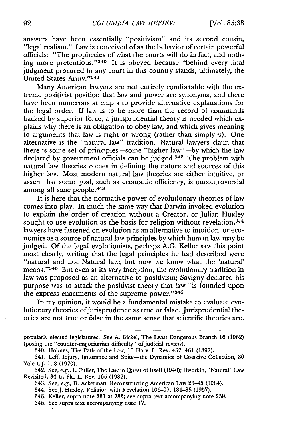answers have been essentially "positivism" and its second cousin, "legal realism." Law is conceived of as the behavior of certain powerful officials: "The prophecies of what the courts will do in fact, and nothing more pretentious."<sup>340</sup> It is obeyed because "behind every final judgment procured in any court in this country stands, ultimately, the United States Army."341

Many American lawyers are not entirely comfortable with the extreme positivist position that law and power are synonyms, and there have been numerous attempts to provide alternative explanations for the legal order. If law is to be more than the record of commands backed by superior force, a jurisprudential theory is needed which explains why there is an obligation to obey law, and which gives meaning to arguments that law is right or wrong (rather than simply is). One alternative is the "natural law" tradition. Natural lawyers claim that there is some set of principles-some "higher law"-by which the law declared by government officials can be judged. $342$  The problem with natural law theories comes in defining the nature and sources of this higher law. Most modem natural law theories are either intuitive, or assert that some goal, such as economic efficiency, is uncontroversial among all sane people.<sup>343</sup>

It is here that the normative power of evolutionary theories of law comes into play. In much the same way that Darwin invoked evolution to explain the order of creation without a Creator, or Julian Huxley sought to use evolution as the basis for religion without revelation,  $344$ lawyers have fastened on evolution as an alternative to intuition, or economics as a source of natural law principles by which human law may be judged. Of the legal evolutionists, perhaps A.G. Keller saw this point most clearly, writing that the legal principles he had described were "natural and not Natural law; but now we know what the 'natural' means."<sup>345</sup> But even at its very inception, the evolutionary tradition in law was proposed as an alternative to positivism; Savigny declared his purpose was to attack the positivist theory that law "is founded upon the express enactments of the supreme power."346

In my opinion, it would be a fundamental mistake to evaluate evolutionary theories of jurisprudence as true or false. Jurisprudential theories are not true or false in the same sense that scientific theories are.

popularly elected legislatures. See A. Bickel, The Least Dangerous Branch 16 (1962) (posing the "counter-majoritarian difficulty" of judicial review).

<sup>340.</sup> Holmes, The Path of the Law, 10 Harv. L. Rev. 457, 461 (1897).

<sup>341.</sup> Leff, Injury, Ignorance and Spite-the Dynamics of Coercive Collection, **80** Yale LJ. 1, 8 (1970).

<sup>342.</sup> See, e.g., L. Fuller, The Law in Quest of Itself (1940); Dworkin, "Natural" Law Revisited, 34 U. Fla. L. Rev. 165 (1982).

<sup>343.</sup> See, e.g., B. Ackerman, Reconstructing American Law 23-45 (1984).

<sup>344.</sup> SeeJ. Huxley, Religion with Revelation 106-07, 181-86 (1957).

<sup>345.</sup> Keller, supra note 231 at 783; see supra text accompanying note 239.

<sup>346.</sup> See supra text accompanying note 17.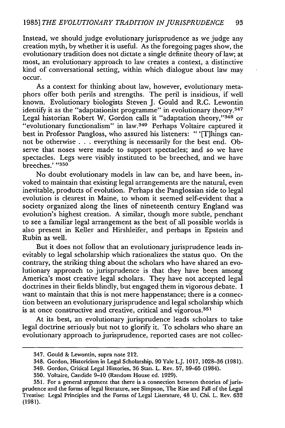Instead, we should judge evolutionary jurisprudence as we judge any creation myth, by whether it is useful. As the foregoing pages show, the evolutionary tradition does not dictate a single definite theory of law; at most, an evolutionary approach to law creates a context, a distinctive kind of conversational setting, within which dialogue about law may occur.

As a context for thinking about law, however, evolutionary metaphors offer both perils and strengths. The peril is insidious, if well known. Evolutionary biologists Steven J. Gould and R.C. Lewontin identify it as the "adaptationist programme" in evolutionary theory.<sup>347</sup> Legal historian Robert W. Gordon calls it "adaptation theory,"348 or "evolutionary functionalism" in law.<sup>349</sup> Perhaps Voltaire captured it best in Professor Pangloss, who assured his listeners: " '[T]hings cannot be otherwise . . . everything is necessarily for the best end. Observe that noses were made to support spectacles; and so we have spectacles. Legs were visibly instituted to be breeched, and we have breeches.' **"1350**

No doubt evolutionary models in law can be, and have been, invoked to maintain that existing legal arrangements are the natural, even inevitable, products of evolution. Perhaps the Panglossian side to legal evolution is clearest in Maine, to whom it seemed self-evident that a society organized along the lines of nineteenth century England was evolution's highest creation. A similar, though more subtle, penchant to see a familiar legal arrangement as the best of all possible worlds is also present in Keller and Hirshleifer, and perhaps in Epstein and Rubin as well.

But it does not follow that an evolutionary jurisprudence leads inevitably to legal scholarship which rationalizes the status quo. On the contrary, the striking thing about the scholars who have shared an evolutionary approach to jurisprudence is that they have been among America's most creative legal scholars. They have not accepted legal doctrines in their fields blindly, but engaged them in vigorous debate. I want to maintain that this is not mere happenstance; there is a connection between an evolutionary jurisprudence and legal scholarship which is at once constructive and creative, critical and vigorous.<sup>351</sup>

At its best, an evolutionary jurisprudence leads scholars to take legal doctrine seriously but not to glorify it. To scholars who share an evolutionary approach to jurisprudence, reported cases are not collec-

<sup>347.</sup> Gould & Lewontin, supra note 212.

<sup>348.</sup> Gordon, Historicism in Legal Scholarship, 90 Yale L.J. 1017, 1028-36 (1981).

<sup>349.</sup> Gordon, Critical Legal Histories, 36 Stan. L. Rev. 57, 59-65 (1984).

<sup>350.</sup> Voltaire, Candide 9-10 (Random House ed. 1929).

<sup>351.</sup> For a general argument that there is a connection between theories of jurisprudence and the forms of legal literature, see Simpson, The Rise and Fall of the Legal Treatise: Legal Principles and the Forms of Legal Literature, 48 U. Chi. L. Rev. 632 **(1981).**